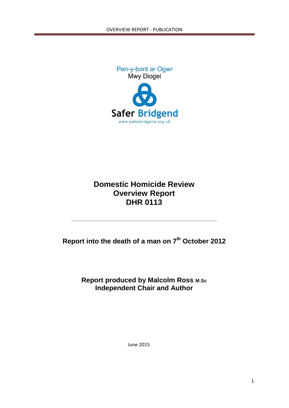

# **Domestic Homicide Review Overview Report DHR 0113**

**Report into the death of a man on 7th October 2012**

**\_\_\_\_\_\_\_\_\_\_\_\_\_\_\_\_\_\_\_\_\_\_\_\_\_\_\_\_\_\_\_\_\_\_\_\_\_\_\_\_\_\_\_\_\_\_\_\_\_**

**Report produced by Malcolm Ross M.Sc Independent Chair and Author**

June 2015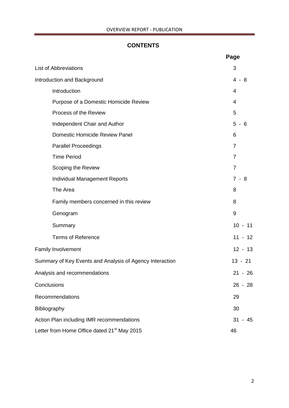# **CONTENTS**

|                                                          | Page                  |  |  |  |  |  |
|----------------------------------------------------------|-----------------------|--|--|--|--|--|
| <b>List of Abbreviations</b>                             | 3                     |  |  |  |  |  |
| Introduction and Background                              | $\overline{4}$<br>- 8 |  |  |  |  |  |
| Introduction                                             | 4                     |  |  |  |  |  |
| Purpose of a Domestic Homicide Review                    | 4                     |  |  |  |  |  |
| Process of the Review                                    | 5                     |  |  |  |  |  |
| Independent Chair and Author                             | $5 - 6$               |  |  |  |  |  |
| <b>Domestic Homicide Review Panel</b>                    | 6                     |  |  |  |  |  |
| <b>Parallel Proceedings</b>                              | 7                     |  |  |  |  |  |
| <b>Time Period</b>                                       | 7                     |  |  |  |  |  |
| Scoping the Review                                       | $\overline{7}$        |  |  |  |  |  |
| <b>Individual Management Reports</b>                     | $7 - 8$               |  |  |  |  |  |
| The Area                                                 | 8                     |  |  |  |  |  |
| Family members concerned in this review                  | 8                     |  |  |  |  |  |
| Genogram                                                 | 9                     |  |  |  |  |  |
| Summary                                                  | $10 - 11$             |  |  |  |  |  |
| <b>Terms of Reference</b>                                | $11 - 12$             |  |  |  |  |  |
| <b>Family Involvement</b>                                | $12 - 13$             |  |  |  |  |  |
| Summary of Key Events and Analysis of Agency Interaction | $13 - 21$             |  |  |  |  |  |
| Analysis and recommendations                             | $21 - 26$             |  |  |  |  |  |
| Conclusions                                              | $26 - 28$             |  |  |  |  |  |
| Recommendations                                          | 29                    |  |  |  |  |  |
| Bibliography                                             | 30                    |  |  |  |  |  |
| Action Plan including IMR recommendations                | 31<br>45              |  |  |  |  |  |
| Letter from Home Office dated 21 <sup>st</sup> May 2015  |                       |  |  |  |  |  |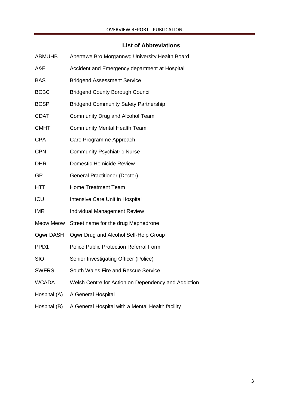# **List of Abbreviations**

| <b>ABMUHB</b> | Abertawe Bro Morgannwg University Health Board      |
|---------------|-----------------------------------------------------|
| A&E           | Accident and Emergency department at Hospital       |
| <b>BAS</b>    | <b>Bridgend Assessment Service</b>                  |
| <b>BCBC</b>   | <b>Bridgend County Borough Council</b>              |
| <b>BCSP</b>   | <b>Bridgend Community Safety Partnership</b>        |
| <b>CDAT</b>   | Community Drug and Alcohol Team                     |
| <b>CMHT</b>   | <b>Community Mental Health Team</b>                 |
| <b>CPA</b>    | Care Programme Approach                             |
| <b>CPN</b>    | <b>Community Psychiatric Nurse</b>                  |
| <b>DHR</b>    | <b>Domestic Homicide Review</b>                     |
| GP            | <b>General Practitioner (Doctor)</b>                |
| <b>HTT</b>    | <b>Home Treatment Team</b>                          |
| ICU           | Intensive Care Unit in Hospital                     |
| <b>IMR</b>    | <b>Individual Management Review</b>                 |
| Meow Meow     | Street name for the drug Mephedrone                 |
| Ogwr DASH     | Ogwr Drug and Alcohol Self-Help Group               |
| PPD1          | Police Public Protection Referral Form              |
| <b>SIO</b>    | Senior Investigating Officer (Police)               |
| <b>SWFRS</b>  | South Wales Fire and Rescue Service                 |
| <b>WCADA</b>  | Welsh Centre for Action on Dependency and Addiction |
| Hospital (A)  | A General Hospital                                  |
| Hospital (B)  | A General Hospital with a Mental Health facility    |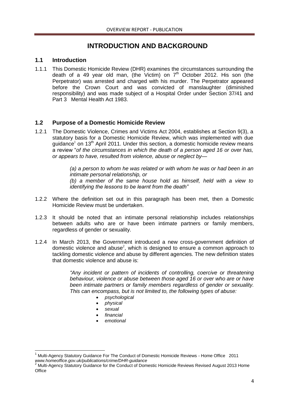# **INTRODUCTION AND BACKGROUND**

# **1.1 Introduction**

1.1.1 This Domestic Homicide Review (DHR) examines the circumstances surrounding the death of a 49 year old man, (the Victim) on  $7<sup>th</sup>$  October 2012. His son (the Perpetrator) was arrested and charged with his murder. The Perpetrator appeared before the Crown Court and was convicted of manslaughter (diminished responsibility) and was made subject of a Hospital Order under Section 37/41 and Part 3 Mental Health Act 1983.

# **1.2 Purpose of a Domestic Homicide Review**

1.2.1 The Domestic Violence, Crimes and Victims Act 2004, establishes at Section 9(3), a statutory basis for a Domestic Homicide Review, which was implemented with due guidance<sup>1</sup> on 13<sup>th</sup> April 2011. Under this section, a domestic homicide review means a review "*of the circumstances in which the death of a person aged 16 or over has, or appears to have, resulted from violence, abuse or neglect by—*

> *(a) a person to whom he was related or with whom he was or had been in an intimate personal relationship, or (b) a member of the same house hold as himself, held with a view to identifying the lessons to be learnt from the death"*

- 1.2.2 Where the definition set out in this paragraph has been met, then a Domestic Homicide Review must be undertaken.
- 1.2.3 It should be noted that an intimate personal relationship includes relationships between adults who are or have been intimate partners or family members, regardless of gender or sexuality.
- 1.2.4 In March 2013, the Government introduced a new cross-government definition of domestic violence and abuse<sup>2</sup>, which is designed to ensure a common approach to tackling domestic violence and abuse by different agencies. The new definition states that domestic violence and abuse is:

*"Any incident or pattern of incidents of controlling, coercive or threatening behaviour, violence or abuse between those aged 16 or over who are or have been intimate partners or family members regardless of gender or sexuality. This can encompass, but is not limited to, the following types of abuse:* 

- *psychological*
- *physical*
- *sexual*
- *financial*
- *emotional*

**<sup>.</sup>** <sup>1</sup> Multi-Agency Statutory Guidance For The Conduct of Domestic Homicide Reviews - Home Office 2011 *www.homeoffice.gov.uk/publications/crime/DHR-guidance*

<sup>2</sup> Multi-Agency Statutory Guidance for the Conduct of Domestic Homicide Reviews Revised August 2013 Home **Office**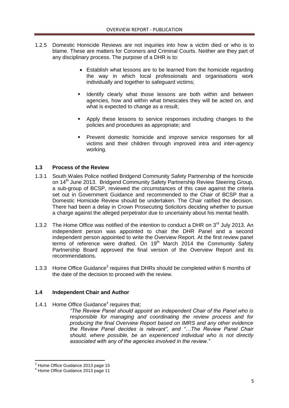- 1.2.5 Domestic Homicide Reviews are not inquiries into how a victim died or who is to blame. These are matters for Coroners and Criminal Courts. Neither are they part of any disciplinary process. The purpose of a DHR is to:
	- Establish what lessons are to be learned from the homicide regarding the way in which local professionals and organisations work individually and together to safeguard victims;
	- **I Identify clearly what those lessons are both within and between** agencies, how and within what timescales they will be acted on, and what is expected to change as a result;
	- **Apply these lessons to service responses including changes to the** policies and procedures as appropriate; and
	- Prevent domestic homicide and improve service responses for all victims and their children through improved intra and inter-agency working.

# **1.3 Process of the Review**

- 1.3.1 South Wales Police notified Bridgend Community Safety Partnership of the homicide on 14<sup>th</sup> June 2013. Bridgend Community Safety Partnership Review Steering Group, a sub-group of BCSP, reviewed the circumstances of this case against the criteria set out in Government Guidance and recommended to the Chair of BCSP that a Domestic Homicide Review should be undertaken. The Chair ratified the decision. There had been a delay in Crown Prosecuting Solicitors deciding whether to pursue a charge against the alleged perpetrator due to uncertainty about his mental health.
- 1.3.2 The Home Office was notified of the intention to conduct a DHR on  $3<sup>rd</sup>$  July 2013. An independent person was appointed to chair the DHR Panel and a second independent person appointed to write the Overview Report. At the first review panel terms of reference were drafted. On  $19<sup>th</sup>$  March 2014 the Community Safety Partnership Board approved the final version of the Overview Report and its recommendations.
- 1.3.3 Home Office Guidance<sup>3</sup> requires that DHRs should be completed within 6 months of the date of the decision to proceed with the review.

# **1.4 Independent Chair and Author**

1.4.1 Home Office Guidance<sup>4</sup> requires that;

*"The Review Panel should appoint an independent Chair of the Panel who is responsible for managing and coordinating the review process and for producing the final Overview Report based on IMRS and any other evidence the Review Panel decides is relevant", and "…The Review Panel Chair should, where possible, be an experienced individual who is not directly associated with any of the agencies involved in the review."*

**.** 

<sup>&</sup>lt;sup>3</sup> Home Office Guidance 2013 page 15

<sup>4</sup> Home Office Guidance 2013 page 11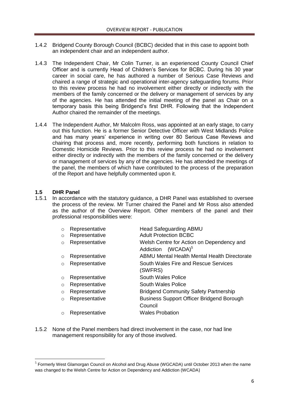- 1.4.2 Bridgend County Borough Council (BCBC) decided that in this case to appoint both an independent chair and an independent author.
- 1.4.3 The Independent Chair, Mr Colin Turner, is an experienced County Council Chief Officer and is currently Head of Children's Services for BCBC. During his 30 year career in social care, he has authored a number of Serious Case Reviews and chaired a range of strategic and operational inter-agency safeguarding forums. Prior to this review process he had no involvement either directly or indirectly with the members of the family concerned or the delivery or management of services by any of the agencies. He has attended the initial meeting of the panel as Chair on a temporary basis this being Bridgend's first DHR. Following that the Independent Author chaired the remainder of the meetings.
- 1.4.4 The Independent Author, Mr Malcolm Ross, was appointed at an early stage, to carry out this function. He is a former Senior Detective Officer with West Midlands Police and has many years' experience in writing over 80 Serious Case Reviews and chairing that process and, more recently, performing both functions in relation to Domestic Homicide Reviews. Prior to this review process he had no involvement either directly or indirectly with the members of the family concerned or the delivery or management of services by any of the agencies. He has attended the meetings of the panel, the members of which have contributed to the process of the preparation of the Report and have helpfully commented upon it.

# **1.5 DHR Panel**

**.** 

1.5.1 In accordance with the statutory guidance, a DHR Panel was established to oversee the process of the review. Mr Turner chaired the Panel and Mr Ross also attended as the author of the Overview Report. Other members of the panel and their professional responsibilities were:

| $\circ$  | Representative | Head Safeguarding ABMU                                                |
|----------|----------------|-----------------------------------------------------------------------|
| $\circ$  | Representative | <b>Adult Protection BCBC</b>                                          |
| $\circ$  | Representative | Welsh Centre for Action on Dependency and<br>$(WCADA)^5$<br>Addiction |
| $\circ$  | Representative | ABMU Mental Health Mental Health Directorate                          |
| $\circ$  | Representative | South Wales Fire and Rescue Services<br>(SWFRS)                       |
| $\circ$  | Representative | South Wales Police                                                    |
| $\circ$  | Representative | South Wales Police                                                    |
| $\circ$  | Representative | <b>Bridgend Community Safety Partnership</b>                          |
| $\circ$  | Representative | <b>Business Support Officer Bridgend Borough</b><br>Council           |
| $\Omega$ | Representative | <b>Wales Probation</b>                                                |
|          |                |                                                                       |

1.5.2 None of the Panel members had direct involvement in the case, nor had line management responsibility for any of those involved.

 $<sup>5</sup>$  Formerly West Glamorgan Council on Alcohol and Drug Abuse (WGCADA) until October 2013 when the name</sup> was changed to the Welsh Centre for Action on Dependency and Addiction (WCADA)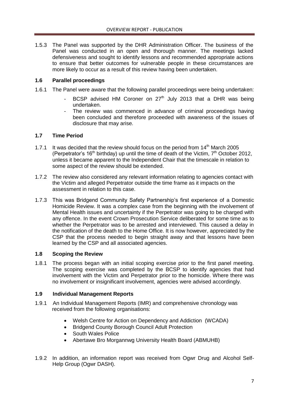1.5.3 The Panel was supported by the DHR Administration Officer. The business of the Panel was conducted in an open and thorough manner. The meetings lacked defensiveness and sought to identify lessons and recommended appropriate actions to ensure that better outcomes for vulnerable people in these circumstances are more likely to occur as a result of this review having been undertaken.

# **1.6 Parallel proceedings**

- 1.6.1 The Panel were aware that the following parallel proceedings were being undertaken:
	- BCSP advised HM Coroner on  $27<sup>th</sup>$  July 2013 that a DHR was being undertaken.
	- The review was commenced in advance of criminal proceedings having been concluded and therefore proceeded with awareness of the issues of disclosure that may arise.

## **1.7 Time Period**

- 1.7.1 It was decided that the review should focus on the period from  $14<sup>th</sup>$  March 2005 (Perpetrator's 16<sup>th</sup> birthday) up until the time of death of the Victim,  $7<sup>th</sup>$  October 2012, unless it became apparent to the Independent Chair that the timescale in relation to some aspect of the review should be extended.
- 1.7.2 The review also considered any relevant information relating to agencies contact with the Victim and alleged Perpetrator outside the time frame as it impacts on the assessment in relation to this case.
- 1.7.3 This was Bridgend Community Safety Partnership's first experience of a Domestic Homicide Review. It was a complex case from the beginning with the involvement of Mental Health issues and uncertainty if the Perpetrator was going to be charged with any offence. In the event Crown Prosecution Service deliberated for some time as to whether the Perpetrator was to be arrested and interviewed. This caused a delay in the notification of the death to the Home Office. It is now however, appreciated by the CSP that the process needed to begin straight away and that lessons have been learned by the CSP and all associated agencies.

# **1.8 Scoping the Review**

1.8.1 The process began with an initial scoping exercise prior to the first panel meeting. The scoping exercise was completed by the BCSP to identify agencies that had involvement with the Victim and Perpetrator prior to the homicide. Where there was no involvement or insignificant involvement, agencies were advised accordingly.

# **1.9 Individual Management Reports**

- 1.9.1 An Individual Management Reports (IMR) and comprehensive chronology was received from the following organisations:
	- Welsh Centre for Action on Dependency and Addiction (WCADA)
	- Bridgend County Borough Council Adult Protection
	- South Wales Police
	- Abertawe Bro Morgannwg University Health Board (ABMUHB)
- 1.9.2 In addition, an information report was received from Ogwr Drug and Alcohol Self-Help Group (Ogwr DASH).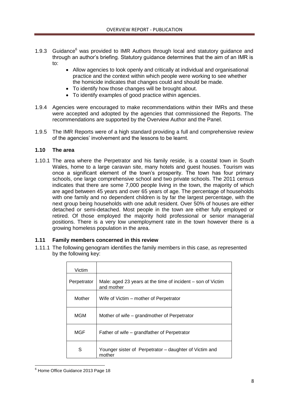- 1.9.3 Guidance $<sup>6</sup>$  was provided to IMR Authors through local and statutory quidance and</sup> through an author's briefing. Statutory guidance determines that the aim of an IMR is to:
	- Allow agencies to look openly and critically at individual and organisational practice and the context within which people were working to see whether the homicide indicates that changes could and should be made.
	- To identify how those changes will be brought about.
	- To identify examples of good practice within agencies.
- 1.9.4 Agencies were encouraged to make recommendations within their IMRs and these were accepted and adopted by the agencies that commissioned the Reports. The recommendations are supported by the Overview Author and the Panel.
- 1.9.5 The IMR Reports were of a high standard providing a full and comprehensive review of the agencies' involvement and the lessons to be learnt.

# **1.10 The area**

1.10.1 The area where the Perpetrator and his family reside, is a coastal town in South Wales, home to a large caravan site, many hotels and guest houses. Tourism was once a significant element of the town's prosperity. The town has four primary schools, one large comprehensive school and two private schools. The 2011 census indicates that there are some 7,000 people living in the town, the majority of which are aged between 45 years and over 65 years of age. The percentage of households with one family and no dependent children is by far the largest percentage, with the next group being households with one adult resident. Over 50% of houses are either detached or semi-detached. Most people in the town are either fully employed or retired. Of those employed the majority hold professional or senior managerial positions. There is a very low unemployment rate in the town however there is a growing homeless population in the area.

# **1.11 Family members concerned in this review**

1.11.1 The following genogram identifies the family members in this case, as represented by the following key:

| Victim      |                                                                           |
|-------------|---------------------------------------------------------------------------|
| Perpetrator | Male: aged 23 years at the time of incident – son of Victim<br>and mother |
| Mother      | Wife of Victim – mother of Perpetrator                                    |
| <b>MGM</b>  | Mother of wife – grandmother of Perpetrator                               |
| MGF         | Father of wife – grandfather of Perpetrator                               |
| S           | Younger sister of Perpetrator – daughter of Victim and<br>mother          |

**<sup>.</sup>** <sup>6</sup> Home Office Guidance 2013 Page 18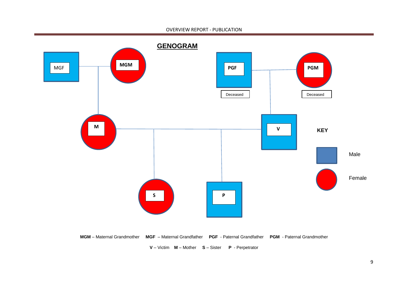#### OVERVIEW REPORT - PUBLICATION



**MGM** – Maternal Grandmother **MGF** – Maternal Grandfather **PGF** - Paternal Grandfather **PGM** - Paternal Grandmother

**V** – Victim **M** – Mother **S** – Sister **P** - Perpetrator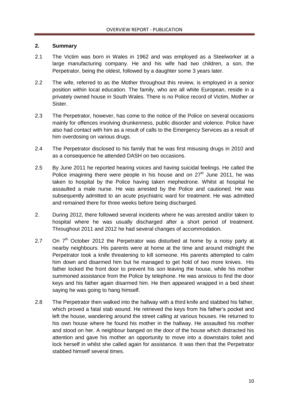# **2. Summary**

- 2.1 The Victim was born in Wales in 1962 and was employed as a Steelworker at a large manufacturing company. He and his wife had two children, a son, the Perpetrator, being the oldest, followed by a daughter some 3 years later.
- 2.2 The wife, referred to as the Mother throughout this review, is employed in a senior position within local education. The family, who are all white European, reside in a privately owned house in South Wales. There is no Police record of Victim, Mother or Sister.
- 2.3 The Perpetrator, however, has come to the notice of the Police on several occasions mainly for offences involving drunkenness, public disorder and violence. Police have also had contact with him as a result of calls to the Emergency Services as a result of him overdosing on various drugs.
- 2.4 The Perpetrator disclosed to his family that he was first misusing drugs in 2010 and as a consequence he attended DASH on two occasions.
- 2.5 By June 2011 he reported hearing voices and having suicidal feelings. He called the Police imagining there were people in his house and on  $27<sup>th</sup>$  June 2011, he was taken to hospital by the Police having taken mephedrone. Whilst at hospital he assaulted a male nurse. He was arrested by the Police and cautioned. He was subsequently admitted to an acute psychiatric ward for treatment. He was admitted and remained there for three weeks before being discharged.
- 2. During 2012, there followed several incidents where he was arrested and/or taken to hospital where he was usually discharged after a short period of treatment. Throughout 2011 and 2012 he had several changes of accommodation.
- 2.7 On  $7<sup>th</sup>$  October 2012 the Perpetrator was disturbed at home by a noisy party at nearby neighbours. His parents were at home at the time and around midnight the Perpetrator took a knife threatening to kill someone. His parents attempted to calm him down and disarmed him but he managed to get hold of two more knives. His father locked the front door to prevent his son leaving the house, while his mother summoned assistance from the Police by telephone. He was anxious to find the door keys and his father again disarmed him. He then appeared wrapped in a bed sheet saying he was going to hang himself.
- 2.8 The Perpetrator then walked into the hallway with a third knife and stabbed his father, which proved a fatal stab wound. He retrieved the keys from his father's pocket and left the house, wandering around the street calling at various houses. He returned to his own house where he found his mother in the hallway. He assaulted his mother and stood on her. A neighbour banged on the door of the house which distracted his attention and gave his mother an opportunity to move into a downstairs toilet and lock herself in whilst she called again for assistance. It was then that the Perpetrator stabbed himself several times.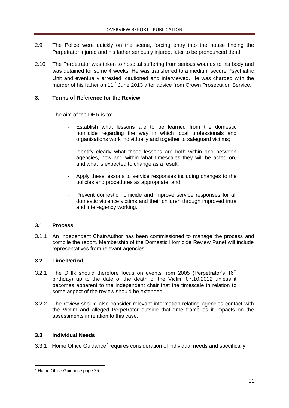- 2.9 The Police were quickly on the scene, forcing entry into the house finding the Perpetrator injured and his father seriously injured, later to be pronounced dead.
- 2.10 The Perpetrator was taken to hospital suffering from serious wounds to his body and was detained for some 4 weeks. He was transferred to a medium secure Psychiatric Unit and eventually arrested, cautioned and interviewed. He was charged with the murder of his father on 11<sup>th</sup> June 2013 after advice from Crown Prosecution Service.

# **3. Terms of Reference for the Review**

The aim of the DHR is to:

- Establish what lessons are to be learned from the domestic homicide regarding the way in which local professionals and organisations work individually and together to safeguard victims;
- Identify clearly what those lessons are both within and between agencies, how and within what timescales they will be acted on, and what is expected to change as a result;
- Apply these lessons to service responses including changes to the policies and procedures as appropriate; and
- Prevent domestic homicide and improve service responses for all domestic violence victims and their children through improved intra and inter-agency working.

# **3.1 Process**

3.1.1 An Independent Chair/Author has been commissioned to manage the process and compile the report. Membership of the Domestic Homicide Review Panel will include representatives from relevant agencies.

# **3.2 Time Period**

- 3.2.1 The DHR should therefore focus on events from 2005 (Perpetrator's  $16<sup>th</sup>$ birthday) up to the date of the death of the Victim 07.10.2012 unless it becomes apparent to the independent chair that the timescale in relation to some aspect of the review should be extended.
- 3.2.2 The review should also consider relevant information relating agencies contact with the Victim and alleged Perpetrator outside that time frame as it impacts on the assessments in relation to this case.

# **3.3 Individual Needs**

3.3.1 Home Office Guidance<sup>7</sup> requires consideration of individual needs and specifically:

**<sup>.</sup>**  $7$  Home Office Guidance page 25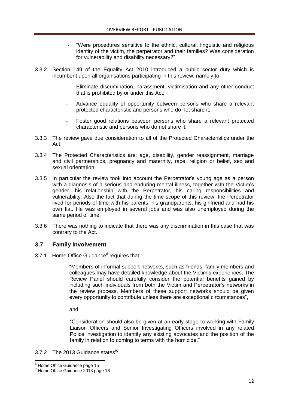- "Were procedures sensitive to the ethnic, cultural, linguistic and religious identity of the victim, the perpetrator and their families? Was consideration for vulnerability and disability necessary?"
- 3.3.2 Section 149 of the Equality Act 2010 introduced a public sector duty which is incumbent upon all organisations participating in this review, namely to:
	- Eliminate discrimination, harassment, victimisation and any other conduct that is prohibited by or under this Act;
	- Advance equality of opportunity between persons who share a relevant protected characteristic and persons who do not share it;
	- Foster good relations between persons who share a relevant protected characteristic and persons who do not share it.
- 3.3.3 The review gave due consideration to all of the Protected Characteristics under the Act.
- 3.3.4 The Protected Characteristics are: age, disability, gender reassignment, marriage and civil partnerships, pregnancy and maternity, race, religion or belief, sex and sexual orientation
- 3.3.5 In particular the review took into account the Perpetrator's young age as a person with a diagnosis of a serious and enduring mental illness, together with the Victim's gender, his relationship with the Perpetrator, his caring responsibilities and vulnerability. Also the fact that during the time scope of this review, the Perpetrator lived for periods of time with his parents, his grandparents, his girlfriend and had his own flat. He was employed in several jobs and was also unemployed during the same period of time.
- 3.3.6 There was nothing to indicate that there was any discrimination in this case that was contrary to the Act.

# **3.7 Family Involvement**

3.7.1 Home Office Guidance<sup>8</sup> requires that:

"Members of informal support networks, such as friends, family members and colleagues may have detailed knowledge about the Victim's experiences. The Review Panel should carefully consider the potential benefits gained by including such individuals from both the Victim and Perpetrator's networks in the review process. Members of these support networks should be given every opportunity to contribute unless there are exceptional circumstances",

and:

"Consideration should also be given at an early stage to working with Family Liaison Officers and Senior Investigating Officers involved in any related Police investigation to identify any existing advocates and the position of the family in relation to coming to terms with the homicide."

# 3.7.2 The 2013 Guidance states $9$ :

**.** 

<sup>&</sup>lt;sup>8</sup> Home Office Guidance page 15

<sup>&</sup>lt;sup>9</sup> Home Office Guidance 2013 page 16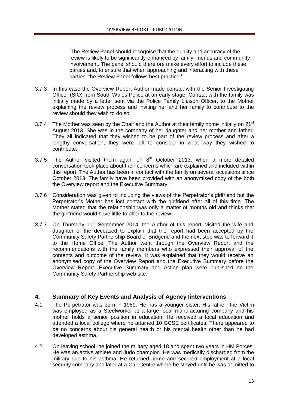'The Review Panel should recognise that the quality and accuracy of the review is likely to be significantly enhanced by family, friends and community involvement. The panel should therefore make every effort to include these parties and, to ensure that when approaching and interacting with these parties, the Review Panel follows best practice.'

- 3.7.3 In this case the Overview Report Author made contact with the Senior Investigating Officer (SIO) from South Wales Police at an early stage. Contact with the family was initially made by a letter sent via the Police Family Liaison Officer, to the Mother explaining the review process and inviting her and her family to contribute to the review should they wish to do so.
- 3.7.4 The Mother was seen by the Chair and the Author at their family home initially on  $21<sup>st</sup>$ August 2013. She was in the company of her daughter and her mother and father. They all indicated that they wished to be part of the review process and after a lengthy conversation, they were left to consider in what way they wished to contribute.
- 3.7.5 The Author visited them again on  $8<sup>th</sup>$  October 2013, when a more detailed conversation took place about their concerns which are explained and included within this report. The Author has been in contact with the family on several occasions since October 2013. The family have been provided with an anonymised copy of the both the Overview report and the Executive Summary.
- 3.7.6 Consideration was given to including the views of the Perpetrator's girlfriend but the Perpetrator's Mother has lost contact with the girlfriend after all of this time. The Mother stated that the relationship was only a matter of months old and thinks that the girlfriend would have little to offer to the review.
- 3.7.7 On Thursday  $11<sup>th</sup>$  September 2014, the Author of this report, visited the wife and daughter of the deceased to explain that the report had been accepted by the Community Safety Partnership Board of Bridgend and the next step was to forward it to the Home Office. The Author went through the Overview Report and the recommendations with the family members who expressed their approval of the contents and outcome of the review. It was explained that they would receive an anonymised copy of the Overview Report and the Executive Summary before the Overview Report, Executive Summary and Action plan were published on the Community Safety Partnership web site.

# **4. Summary of Key Events and Analysis of Agency Iinterventions**

- 4.1 The Perpetrator was born in 1989. He has a younger sister. His father, the Victim was employed as a Steelworker at a large local manufacturing company and his mother holds a senior position in education. He received a local education and attended a local college where he attained 10 GCSE certificates. There appeared to be no concerns about his general health or his mental health other than he had developed asthma.
- 4.2 On leaving school, he joined the military aged 18 and spent two years in HM Forces. He was an active athlete and Judo champion. He was medically discharged from the military due to his asthma. He returned home and secured employment at a local security company and later at a Call Centre where he stayed until he was admitted to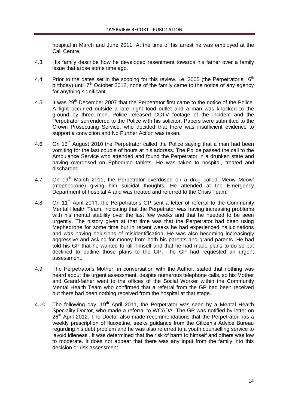hospital in March and June 2011. At the time of his arrest he was employed at the Call Centre.

- 4.3 His family describe how he developed resentment towards his father over a family issue that arose some time ago.
- 4.4 Prior to the dates set in the scoping for this review, i.e. 2005 (the Perpetrator's 16<sup>th</sup> birthday) until  $7<sup>th</sup>$  October 2012, none of the family came to the notice of any agency for anything significant.
- 4.5 It was 29<sup>th</sup> December 2007 that the Perpetrator first came to the notice of the Police. A fight occurred outside a late night food outlet and a man was knocked to the ground by three men. Police released CCTV footage of the incident and the Perpetrator surrendered to the Police with his solicitor. Papers were submitted to the Crown Prosecuting Service, who decided that there was insufficient evidence to support a conviction and No Further Action was taken.
- 4.6 On  $15<sup>th</sup>$  August 2010 the Perpetrator called the Police saying that a man had been vomiting for the last couple of hours at his address. The Police passed the call to the Ambulance Service who attended and found the Perpetrator in a drunken state and having overdosed on Ephedrine tablets. He was taken to hospital, treated and discharged.
- 4.7 On 19<sup>th</sup> March 2011, the Perpetrator overdosed on a drug called 'Meow Meow' (mephedrone) giving him suicidal thoughts. He attended at the Emergency Department of hospital A and was treated and referred to the Crisis Team.
- 4.8 On 11<sup>th</sup> April 2011, the Perpetrator's GP sent a letter of referral to the Community Mental Health Team, indicating that the Perpetrator was having increasing problems with his mental stability over the last few weeks and that he needed to be seen urgently. The history given at that time was that the Perpetrator had been using Mephedrone for some time but in recent weeks he had experienced hallucinations and was having delusions of misidentification. He was also becoming increasingly aggressive and asking for money from both his parents and grand-parents. He had told his GP that he wanted to kill himself and that he had made plans to do so but declined to outline those plans to the GP. The GP had requested an urgent assessment.
- 4.9 The Perpetrator's Mother, in conversation with the Author, stated that nothing was heard about the urgent assessment, despite numerous telephone calls, so his Mother and Grand-father went to the offices of the Social Worker within the Community Mental Health Team who confirmed that a referral from the GP had been received but there had been nothing received from the hospital at that stage.
- 4.10 The following day,  $19<sup>th</sup>$  April 2011, the Perpetrator was seen by a Mental Health Speciality Doctor, who made a referral to WCADA. The GP was notified by letter on 26<sup>th</sup> April 2012. The Doctor also made recommendations that the Perpetrator has a weekly prescription of fluoxetine, seeks guidance from the Citizen's Advice Bureau regarding his debt problem and he was also referred to a youth counselling service to 'avoid idleness'. It was determined that the risk of harm to himself and others was low to moderate. It does not appear that there was any input from the family into this decision or risk assessment.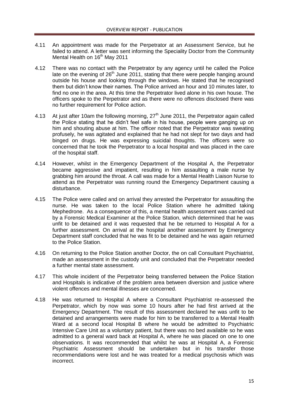- 4.11 An appointment was made for the Perpetrator at an Assessment Service, but he failed to attend. A letter was sent informing the Speciality Doctor from the Community Mental Health on 16<sup>th</sup> May 2011
- 4.12 There was no contact with the Perpetrator by any agency until he called the Police late on the evening of  $26<sup>th</sup>$  June 2011, stating that there were people hanging around outside his house and looking through the windows. He stated that he recognised them but didn't know their names. The Police arrived an hour and 10 minutes later, to find no one in the area. At this time the Perpetrator lived alone in his own house. The officers spoke to the Perpetrator and as there were no offences disclosed there was no further requirement for Police action.
- 4.13 At just after 10am the following morning,  $27<sup>th</sup>$  June 2011, the Perpetrator again called the Police stating that he didn't feel safe in his house, people were ganging up on him and shouting abuse at him. The officer noted that the Perpetrator was sweating profusely, he was agitated and explained that he had not slept for two days and had binged on drugs. He was expressing suicidal thoughts. The officers were so concerned that he took the Perpetrator to a local hospital and was placed in the care of the hospital staff.
- 4.14 However, whilst in the Emergency Department of the Hospital A, the Perpetrator became aggressive and impatient, resulting in him assaulting a male nurse by grabbing him around the throat. A call was made for a Mental Health Liaison Nurse to attend as the Perpetrator was running round the Emergency Department causing a disturbance.
- 4.15 The Police were called and on arrival they arrested the Perpetrator for assaulting the nurse. He was taken to the local Police Station where he admitted taking Mephedrone. As a consequence of this, a mental health assessment was carried out by a Forensic Medical Examiner at the Police Station, which determined that he was unfit to be detained and it was requested that he be returned to Hospital A for a further assessment. On arrival at the hospital another assessment by Emergency Department staff concluded that he was fit to be detained and he was again returned to the Police Station.
- 4.16 On returning to the Police Station another Doctor, the on call Consultant Psychiatrist, made an assessment in the custody unit and concluded that the Perpetrator needed a further mental state assessment.
- 4.17 This whole incident of the Perpetrator being transferred between the Police Station and Hospitals is indicative of the problem area between diversion and justice where violent offences and mental illnesses are concerned.
- 4.18 He was returned to Hospital A where a Consultant Psychiatrist re-assessed the Perpetrator, which by now was some 10 hours after he had first arrived at the Emergency Department. The result of this assessment declared he was unfit to be detained and arrangements were made for him to be transferred to a Mental Health Ward at a second local Hospital B where he would be admitted to Psychiatric Intensive Care Unit as a voluntary patient, but there was no bed available so he was admitted to a general ward back at Hospital A, where he was placed on one to one observations. It was recommended that whilst he was at Hospital A, a Forensic Psychiatric Assessment should be undertaken but in his transfer those recommendations were lost and he was treated for a medical psychosis which was incorrect.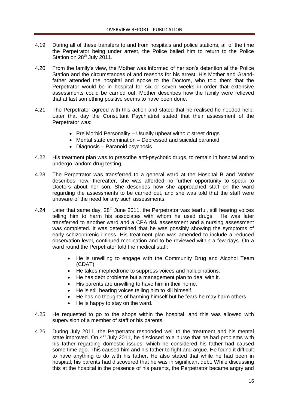- 4.19 During all of these transfers to and from hospitals and police stations, all of the time the Perpetrator being under arrest, the Police bailed him to return to the Police Station on 28<sup>th</sup> July 2011.
- 4.20 From the family's view, the Mother was informed of her son's detention at the Police Station and the circumstances of and reasons for his arrest. His Mother and Grandfather attended the hospital and spoke to the Doctors, who told them that the Perpetrator would be in hospital for six or seven weeks in order that extensive assessments could be carried out. Mother describes how the family were relieved that at last something positive seems to have been done.
- 4.21 The Perpetrator agreed with this action and stated that he realised he needed help. Later that day the Consultant Psychiatrist stated that their assessment of the Perpetrator was:
	- Pre Morbid Personality Usually upbeat without street drugs
	- Mental state examination Depressed and suicidal paranoid
	- Diagnosis Paranoid psychosis
- 4.22 His treatment plan was to prescribe anti-psychotic drugs, to remain in hospital and to undergo random drug testing.
- 4.23 The Perpetrator was transferred to a general ward at the Hospital B and Mother describes how, thereafter, she was afforded no further opportunity to speak to Doctors about her son. She describes how she approached staff on the ward regarding the assessments to be carried out, and she was told that the staff were unaware of the need for any such assessments.
- 4.24 Later that same day,  $28<sup>th</sup>$  June 2011, the Perpetrator was tearful, still hearing voices telling him to harm his associates with whom he used drugs. He was later transferred to another ward and a CPA risk assessment and a nursing assessment was completed. It was determined that he was possibly showing the symptoms of early schizophrenic illness. His treatment plan was amended to include a reduced observation level, continued medication and to be reviewed within a few days. On a ward round the Perpetrator told the medical staff:
	- He is unwilling to engage with the Community Drug and Alcohol Team (CDAT)
	- He takes mephedrone to suppress voices and hallucinations.
	- He has debt problems but a management plan to deal with it.
	- His parents are unwilling to have him in their home.
	- He is still hearing voices telling him to kill himself.
	- He has no thoughts of harming himself but he fears he may harm others.
	- He is happy to stay on the ward.
- 4.25 He requested to go to the shops within the hospital, and this was allowed with supervision of a member of staff or his parents.
- 4.26 During July 2011, the Perpetrator responded well to the treatment and his mental state improved. On  $4<sup>th</sup>$  July 2011, he disclosed to a nurse that he had problems with his father regarding domestic issues, which he considered his father had caused some time ago. This caused him and his father to fight and argue. He found it difficult to have anything to do with his father. He also stated that while he had been in hospital, his parents had discovered that he was in significant debt. While discussing this at the hospital in the presence of his parents, the Perpetrator became angry and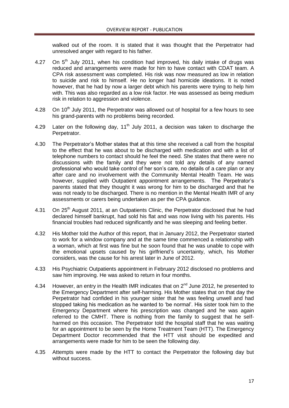walked out of the room. It is stated that it was thought that the Perpetrator had unresolved anger with regard to his father.

- 4.27 On  $5<sup>th</sup>$  July 2011, when his condition had improved, his daily intake of drugs was reduced and arrangements were made for him to have contact with CDAT team. A CPA risk assessment was completed. His risk was now measured as low in relation to suicide and risk to himself. He no longer had homicide ideations. It is noted however, that he had by now a larger debt which his parents were trying to help him with. This was also regarded as a low risk factor. He was assessed as being medium risk in relation to aggression and violence.
- 4.28 On 10<sup>th</sup> July 2011, the Perpetrator was allowed out of hospital for a few hours to see his grand-parents with no problems being recorded.
- 4.29 Later on the following day,  $11<sup>th</sup>$  July 2011, a decision was taken to discharge the Perpetrator.
- 4.30 The Perpetrator's Mother states that at this time she received a call from the hospital to the effect that he was about to be discharged with medication and with a list of telephone numbers to contact should he feel the need. She states that there were no discussions with the family and they were not told any details of any named professional who would take control of her son's care, no details of a care plan or any after care and no involvement with the Community Mental Health Team. He was however, supplied with Outpatient appointment arrangements. The Perpetrator's parents stated that they thought it was wrong for him to be discharged and that he was not ready to be discharged. There is no mention in the Mental Health IMR of any assessments or carers being undertaken as per the CPA guidance.
- 4.31 On 25<sup>th</sup> August 2011, at an Outpatients Clinic, the Perpetrator disclosed that he had declared himself bankrupt, had sold his flat and was now living with his parents. His financial troubles had reduced significantly and he was sleeping and feeling better.
- 4.32 His Mother told the Author of this report, that in January 2012, the Perpetrator started to work for a window company and at the same time commenced a relationship with a woman, which at first was fine but he soon found that he was unable to cope with the emotional upsets caused by his girlfriend's uncertainty, which, his Mother considers, was the cause for his arrest later in June of 2012.
- 4.33 His Psychiatric Outpatients appointment in February 2012 disclosed no problems and saw him improving. He was asked to return in four months.
- 4.34 However, an entry in the Health IMR indicates that on  $2^{nd}$  June 2012, he presented to the Emergency Department after self-harming. His Mother states that on that day the Perpetrator had confided in his younger sister that he was feeling unwell and had stopped taking his medication as he wanted to 'be normal'. His sister took him to the Emergency Department where his prescription was changed and he was again referred to the CMHT. There is nothing from the family to suggest that he selfharmed on this occasion. The Perpetrator told the hospital staff that he was waiting for an appointment to be seen by the Home Treatment Team (HTT). The Emergency Department Doctor recommended that the HTT visit should be expedited and arrangements were made for him to be seen the following day.
- 4.35 Attempts were made by the HTT to contact the Perpetrator the following day but without success.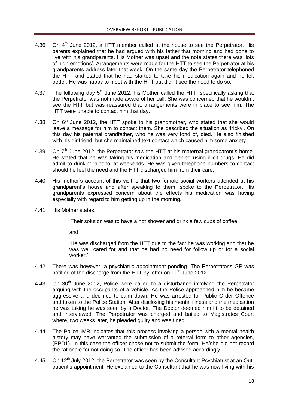- 4.36 On  $4<sup>th</sup>$  June 2012, a HTT member called at the house to see the Perpetrator. His parents explained that he had argued with his father that morning and had gone to live with his grandparents. His Mother was upset and the note states there was 'lots of high emotions'. Arrangements were made for the HTT to see the Perpetrator at his grandparents address later that week. On the same day the Perpetrator telephoned the HTT and stated that he had started to take his medication again and he felt better. He was happy to meet with the HTT but didn't see the need to do so.
- 4.37 The following day  $5<sup>th</sup>$  June 2012, his Mother called the HTT, specifically asking that the Perpetrator was not made aware of her call. She was concerned that he wouldn't see the HTT but was reassured that arrangements were in place to see him. The HTT were unable to contact him that day.
- 4.38 On  $6<sup>th</sup>$  June 2012, the HTT spoke to his grandmother, who stated that she would leave a message for him to contact them. She described the situation as 'tricky'. On this day his paternal grandfather, who he was very fond of, died. He also finished with his girlfriend, but she maintained text contact which caused him some anxiety.
- 4.39 On  $7<sup>th</sup>$  June 2012, the Perpetrator saw the HTT at his maternal grandparent's home. He stated that he was taking his medication and denied using illicit drugs. He did admit to drinking alcohol at weekends. He was given telephone numbers to contact should he feel the need and the HTT discharged him from their care.
- 4.40 His mother's account of this visit is that two female social workers attended at his grandparent's house and after speaking to them, spoke to the Perpetrator. His grandparents expressed concern about the effects his medication was having especially with regard to him getting up in the morning.
- 4.41 His Mother states,

'Their solution was to have a hot shower and drink a few cups of coffee.'

and

'He was discharged from the HTT due to the fact he was working and that he was well cared for and that he had no need for follow up or for a social worker.'

- 4.42 There was however, a psychiatric appointment pending. The Perpetrator's GP was notified of the discharge from the HTT by letter on  $11<sup>th</sup>$  June 2012.
- 4.43 On 30<sup>th</sup> June 2012, Police were called to a disturbance involving the Perpetrator arguing with the occupants of a vehicle. As the Police approached him he became aggressive and declined to calm down. He was arrested for Public Order Offence and taken to the Police Station. After disclosing his mental illness and the medication he was taking he was seen by a Doctor. The Doctor deemed him fit to be detained and interviewed. The Perpetrator was charged and bailed to Magistrates Court where, two weeks later, he pleaded guilty and was fined.
- 4.44 The Police IMR indicates that this process involving a person with a mental health history may have warranted the submission of a referral form to other agencies, (PPD1). In this case the officer chose not to submit the form. He/she did not record the rationale for not doing so. The officer has been advised accordingly.
- 4.45 On  $12<sup>th</sup>$  July 2012, the Perpetrator was seen by the Consultant Psychiatrist at an Outpatient's appointment. He explained to the Consultant that he was now living with his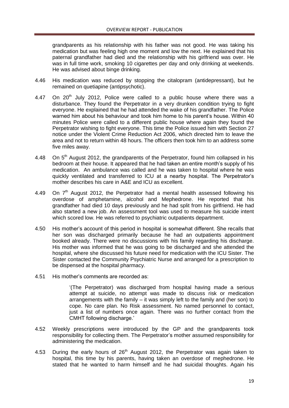grandparents as his relationship with his father was not good. He was taking his medication but was feeling high one moment and low the next. He explained that his paternal grandfather had died and the relationship with his girlfriend was over. He was in full time work, smoking 10 cigarettes per day and only drinking at weekends. He was advised about binge drinking.

- 4.46 His medication was reduced by stopping the citalopram (antidepressant), but he remained on quetiapine (antipsychotic).
- 4.47 On  $20<sup>th</sup>$  July 2012, Police were called to a public house where there was a disturbance. They found the Perpetrator in a very drunken condition trying to fight everyone. He explained that he had attended the wake of his grandfather. The Police warned him about his behaviour and took him home to his parent's house. Within 40 minutes Police were called to a different public house where again they found the Perpetrator wishing to fight everyone. This time the Police issued him with Section 27 notice under the Violent Crime Reduction Act 2006, which directed him to leave the area and not to return within 48 hours. The officers then took him to an address some five miles away.
- 4.48 On 5<sup>th</sup> August 2012, the grandparents of the Perpetrator, found him collapsed in his bedroom at their house. It appeared that he had taken an entire month's supply of his medication. An ambulance was called and he was taken to hospital where he was quickly ventilated and transferred to ICU at a nearby hospital. The Perpetrator's mother describes his care in A&E and ICU as excellent.
- 4.49 On  $7<sup>th</sup>$  August 2012, the Perpetrator had a mental health assessed following his overdose of amphetamine, alcohol and Mephedrone. He reported that his grandfather had died 10 days previously and he had split from his girlfriend. He had also started a new job. An assessment tool was used to measure his suicide intent which scored low. He was referred to psychiatric outpatients department.
- 4.50 His mother's account of this period in hospital is somewhat different. She recalls that her son was discharged primarily because he had an outpatients appointment booked already. There were no discussions with his family regarding his discharge. His mother was informed that he was going to be discharged and she attended the hospital, where she discussed his future need for medication with the ICU Sister. The Sister contacted the Community Psychiatric Nurse and arranged for a prescription to be dispensed at the hospital pharmacy.
- 4.51 His mother's comments are recorded as:

'(The Perpetrator) was discharged from hospital having made a serious attempt at suicide, no attempt was made to discuss risk or medication arrangements with the family – it was simply left to the family and (her son) to cope. No care plan. No Risk assessment. No named personnel to contact, just a list of numbers once again. There was no further contact from the CMHT following discharge.'

- 4.52 Weekly prescriptions were introduced by the GP and the grandparents took responsibility for collecting them. The Perpetrator's mother assumed responsibility for administering the medication.
- 4.53 During the early hours of  $26<sup>th</sup>$  August 2012, the Perpetrator was again taken to hospital, this time by his parents, having taken an overdose of mephedrone. He stated that he wanted to harm himself and he had suicidal thoughts. Again his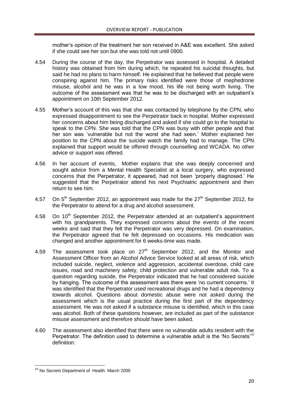mother's opinion of the treatment her son received in A&E was excellent. She asked if she could see her son but she was told not until 0900.

- 4.54 During the course of the day, the Perpetrator was assessed in hospital. A detailed history was obtained from him during which, he repeated his suicidal thoughts, but said he had no plans to harm himself. He explained that he believed that people were conspiring against him. The primary risks identified were those of mephedrone misuse, alcohol and he was in a low mood, his life not being worth living. The outcome of the assessment was that he was to be discharged with an outpatient's appointment on 10th September 2012.
- 4.55 Mother's account of this was that she was contacted by telephone by the CPN, who expressed disappointment to see the Perpetrator back in hospital. Mother expressed her concerns about him being discharged and asked if she could go to the hospital to speak to the CPN. She was told that the CPN was busy with other people and that her son was 'vulnerable but not the worst she had seen.' Mother explained her position to the CPN about the suicide watch the family had to manage. The CPN explained that support would be offered through counselling and WCADA. No other advice or support was offered.
- 4.56 In her account of events, Mother explains that she was deeply concerned and sought advice from a Mental Health Specialist at a local surgery, who expressed concerns that the Perpetrator, it appeared, had not been 'properly diagnosed.' He suggested that the Perpetrator attend his next Psychiatric appointment and then return to see him.
- 4.57 On  $5<sup>th</sup>$  September 2012, an appointment was made for the 27<sup>th</sup> September 2012, for the Perpetrator to attend for a drug and alcohol assessment.
- 4.58 On  $10<sup>th</sup>$  September 2012, the Perpetrator attended at an outpatient's appointment with his grandparents. They expressed concerns about the events of the recent weeks and said that they felt the Perpetrator was very depressed. On examination, the Perpetrator agreed that he felt depressed on occasions. His medication was changed and another appointment for 6 weeks-time was made.
- 4.59 The assessment took place on  $27<sup>th</sup>$  September 2012, and the Monitor and Assessment Officer from an Alcohol Advice Service looked at all areas of risk, which included suicide, neglect, violence and aggression, accidental overdose, child care issues, road and machinery safety, child protection and vulnerable adult risk. To a question regarding suicide, the Perpetrator indicated that he had considered suicide by hanging. The outcome of the assessment was there were 'no current concerns.' It was identified that the Perpetrator used recreational drugs and he had a dependency towards alcohol. Questions about domestic abuse were not asked during the assessment which is the usual practice during the first part of the dependency assessment. He was not asked if a substance misuse is identified, which in this case was alcohol. Both of these questions however, are included as part of the substance misuse assessment and therefore should have been asked.
- 4.60 The assessment also identified that there were no vulnerable adults resident with the Perpetrator. The definition used to determine a vulnerable adult is the 'No Secrets'<sup>10</sup> definition:

**<sup>.</sup>** <sup>10</sup> No Secrets Department of Health March 2000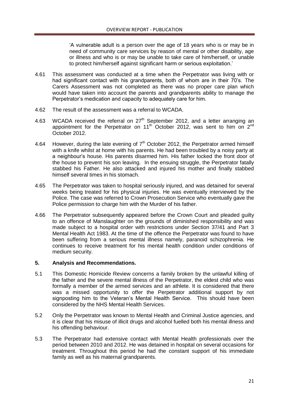'A vulnerable adult is a person over the age of 18 years who is or may be in need of community care services by reason of mental or other disability, age or illness and who is or may be unable to take care of him/herself, or unable to protect him/herself against significant harm or serious exploitation.'

- 4.61 This assessment was conducted at a time when the Perpetrator was living with or had significant contact with his grandparents, both of whom are in their 70's. The Carers Assessment was not completed as there was no proper care plan which would have taken into account the parents and grandparents ability to manage the Perpetrator's medication and capacity to adequately care for him.
- 4.62 The result of the assessment was a referral to WCADA.
- 4.63 WCADA received the referral on  $27<sup>th</sup>$  September 2012, and a letter arranging an appointment for the Perpetrator on  $11<sup>th</sup>$  October 2012, was sent to him on  $2<sup>nd</sup>$ October 2012.
- 4.64 However, during the late evening of  $7<sup>th</sup>$  October 2012, the Perpetrator armed himself with a knife whilst at home with his parents. He had been troubled by a noisy party at a neighbour's house. His parents disarmed him. His father locked the front door of the house to prevent his son leaving. In the ensuing struggle, the Perpetrator fatally stabbed his Father. He also attacked and injured his mother and finally stabbed himself several times in his stomach.
- 4.65 The Perpetrator was taken to hospital seriously injured, and was detained for several weeks being treated for his physical injuries. He was eventually interviewed by the Police. The case was referred to Crown Prosecution Service who eventually gave the Police permission to charge him with the Murder of his father.
- 4.66 The Perpetrator subsequently appeared before the Crown Court and pleaded guilty to an offence of Manslaughter on the grounds of diminished responsibility and was made subject to a hospital order with restrictions under Section 37/41 and Part 3 Mental Health Act 1983. At the time of the offence the Perpetrator was found to have been suffering from a serious mental illness namely, paranoid schizophrenia. He continues to receive treatment for his mental health condition under conditions of medium security.

# **5. Analysis and Recommendations.**

- 5.1 This Domestic Homicide Review concerns a family broken by the unlawful killing of the father and the severe mental illness of the Perpetrator, the eldest child who was formally a member of the armed services and an athlete. It is considered that there was a missed opportunity to offer the Perpetrator additional support by not signposting him to the Veteran's Mental Health Service. This should have been considered by the NHS Mental Health Services.
- 5.2 Only the Perpetrator was known to Mental Health and Criminal Justice agencies, and it is clear that his misuse of illicit drugs and alcohol fuelled both his mental illness and his offending behaviour.
- 5.3 The Perpetrator had extensive contact with Mental Health professionals over the period between 2010 and 2012. He was detained in hospital on several occasions for treatment. Throughout this period he had the constant support of his immediate family as well as his maternal grandparents.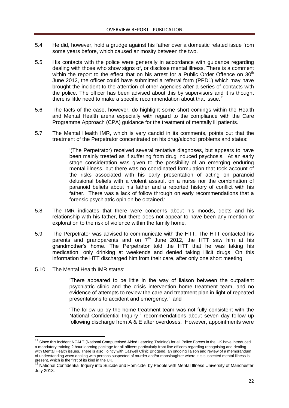- 5.4 He did, however, hold a grudge against his father over a domestic related issue from some years before, which caused animosity between the two.
- 5.5 His contacts with the police were generally in accordance with guidance regarding dealing with those who show signs of, or disclose mental illness. There is a comment within the report to the effect that on his arrest for a Public Order Offence on  $30<sup>th</sup>$ June 2012, the officer could have submitted a referral form (PPD1) which may have brought the incident to the attention of other agencies after a series of contacts with the police. The officer has been advised about this by supervisors and it is thought there is little need to make a specific recommendation about that issue.<sup>11</sup>
- 5.6 The facts of the case, however, do highlight some short comings within the Health and Mental Health arena especially with regard to the compliance with the Care Programme Approach (CPA) guidance for the treatment of mentally ill patients.
- 5.7 The Mental Health IMR, which is very candid in its comments, points out that the treatment of the Perpetrator concentrated on his drug/alcohol problems and states:

'(The Perpetrator) received several tentative diagnoses, but appears to have been mainly treated as if suffering from drug induced psychosis. At an early stage consideration was given to the possibility of an emerging enduring mental illness, but there was no coordinated formulation that took account of the risks associated with his early presentation of acting on paranoid delusional beliefs with a violent assault on a nurse nor the combination of paranoid beliefs about his father and a reported history of conflict with his father. There was a lack of follow through on early recommendations that a forensic psychiatric opinion be obtained.'

- 5.8 The IMR indicates that there were concerns about his moods, debts and his relationship with his father, but there does not appear to have been any mention or exploration to the risk of violence within the family home.
- 5.9 The Perpetrator was advised to communicate with the HTT. The HTT contacted his parents and grandparents and on  $7<sup>th</sup>$  June 2012, the HTT saw him at his grandmother's home. The Perpetrator told the HTT that he was taking his medication, only drinking at weekends and denied taking illicit drugs. On this information the HTT discharged him from their care, after only one short meeting.
- 5.10 The Mental Health IMR states:

**.** 

'There appeared to be little in the way of liaison between the outpatient psychiatric clinic and the crisis intervention home treatment team, and no evidence of attempts to review the care and treatment plan in light of repeated presentations to accident and emergency.' and

'The follow up by the home treatment team was not fully consistent with the National Confidential Inquiry<sup>12</sup> recommendations about seven day follow up following discharge from A & E after overdoses. However, appointments were

 $11$  Since this incident NCALT (National Computerised Aided Learning Training) for all Police Forces in the UK have introduced a mandatory training 2 hour learning package for all officers particularly front line officers regarding recognising and dealing with Mental Health issues. There is also, jointly with Caswell Clinic Bridgend, an ongoing liaison and review of a memorandum of understanding when dealing with persons suspected of murder and/or manslaughter where it is suspected mental illness is

present, which is the first of its kind in the UK.<br><sup>12</sup> National Confidential Inquiry into Suicide and Homicide by People with Mental Illness University of Manchester July 2013.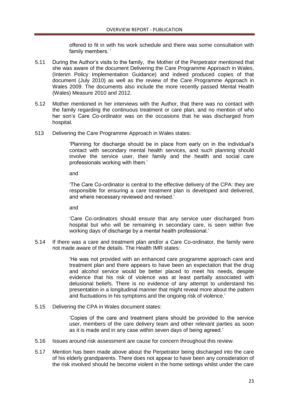offered to fit in with his work schedule and there was some consultation with family members. '

- 5.11 During the Author's visits to the family, the Mother of the Perpetrator mentioned that she was aware of the document Delivering the Care Programme Approach in Wales, (Interim Policy Implementation Guidance) and indeed produced copies of that document (July 2010) as well as the review of the Care Programme Approach in Wales 2009. The documents also include the more recently passed Mental Health (Wales) Measure 2010 and 2012.
- 5.12 Mother mentioned in her interviews with the Author, that there was no contact with the family regarding the continuous treatment or care plan, and no mention of who her son's Care Co-ordinator was on the occasions that he was discharged from hospital.
- 513 Delivering the Care Programme Approach in Wales states:

'Planning for discharge should be in place from early on in the individual's contact with secondary mental health services, and such planning should involve the service user, their family and the health and social care professionals working with them.'

and

'The Care Co-ordinator is central to the effective delivery of the CPA: they are responsible for ensuring a care treatment plan is developed and delivered, and where necessary reviewed and revised.'

and

'Care Co-ordinators should ensure that any service user discharged from hospital but who will be remaining in secondary care, is seen within five working days of discharge by a mental health professional.'

5.14 If there was a care and treatment plan and/or a Care Co-ordinator, the family were not made aware of the details. The Health IMR states:

> 'He was not provided with an enhanced care programme approach care and treatment plan and there appears to have been an expectation that the drug and alcohol service would be better placed to meet his needs, despite evidence that his risk of violence was at least partially associated with delusional beliefs. There is no evidence of any attempt to understand his presentation in a longitudinal manner that might reveal more about the pattern and fluctuations in his symptoms and the ongoing risk of violence.'

5.15 Delivering the CPA in Wales document states:

'Copies of the care and treatment plans should be provided to the service user, members of the care delivery team and other relevant parties as soon as it is made and in any case within seven days of being agreed.'

- 5.16 Issues around risk assessment are cause for concern throughout this review.
- 5.17 Mention has been made above about the Perpetrator being discharged into the care of his elderly grandparents. There does not appear to have been any consideration of the risk involved should he become violent in the home settings whilst under the care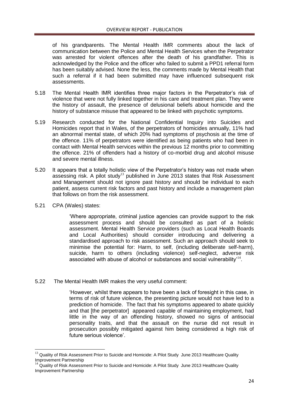of his grandparents. The Mental Health IMR comments about the lack of communication between the Police and Mental Health Services when the Perpetrator was arrested for violent offences after the death of his grandfather. This is acknowledged by the Police and the officer who failed to submit a PPD1 referral form has been suitably advised. None the less, the comments made by Mental Health that such a referral if it had been submitted may have influenced subsequent risk assessments.

- 5.18 The Mental Health IMR identifies three major factors in the Perpetrator's risk of violence that were not fully linked together in his care and treatment plan. They were the history of assault, the presence of delusional beliefs about homicide and the history of substance misuse that appeared to be linked with psychotic symptoms.
- 5.19 Research conducted for the National Confidential Inquiry into Suicides and Homicides report that in Wales, of the perpetrators of homicides annually, 11% had an abnormal mental state, of which 20% had symptoms of psychosis at the time of the offence. 11% of perpetrators were identified as being patients who had been in contact with Mental Health services within the previous 12 months prior to committing the offence. 21% of offenders had a history of co-morbid drug and alcohol misuse and severe mental illness.
- 5.20 It appears that a totally holistic view of the Perpetrator's history was not made when assessing risk. A pilot study<sup>13</sup> published in June 2013 states that Risk Assessment and Management should not ignore past history and should be individual to each patient, assess current risk factors and past history and include a management plan that follows on from the risk assessment.
- 5.21 CPA (Wales) states:

**.** 

'Where appropriate, criminal justice agencies can provide support to the risk assessment process and should be consulted as part of a holistic assessment. Mental Health Service providers (such as Local Health Boards and Local Authorities) should consider introducing and delivering a standardised approach to risk assessment. Such an approach should seek to minimise the potential for: Harm, to self, (including deliberate self-harm), suicide, harm to others (including violence) self-neglect, adverse risk associated with abuse of alcohol or substances and social vulnerability<sup> $14$ </sup>.

5.22 The Mental Health IMR makes the very useful comment:

'However, whilst there appears to have been a lack of foresight in this case, in terms of risk of future violence, the presenting picture would not have led to a prediction of homicide. The fact that his symptoms appeared to abate quickly and that [the perpetrator] appeared capable of maintaining employment, had little in the way of an offending history, showed no signs of antisocial personality traits, and that the assault on the nurse did not result in prosecution possibly mitigated against him being considered a high risk of future serious violence'.

<sup>&</sup>lt;sup>13</sup> Quality of Risk Assessment Prior to Suicide and Homicide: A Pilot Study June 2013 Healthcare Quality Improvement Partnership

<sup>&</sup>lt;sup>14</sup> Quality of Risk Assessment Prior to Suicide and Homicide: A Pilot Study June 2013 Healthcare Quality Improvement Partnership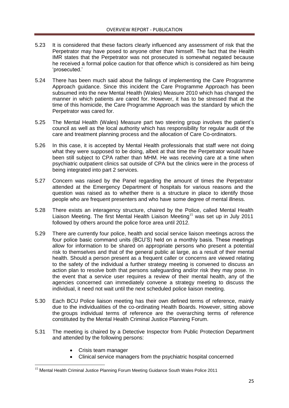- 5.23 It is considered that these factors clearly influenced any assessment of risk that the Perpetrator may have posed to anyone other than himself. The fact that the Health IMR states that the Perpetrator was not prosecuted is somewhat negated because he received a formal police caution for that offence which is considered as him being 'prosecuted.'
- 5.24 There has been much said about the failings of implementing the Care Programme Approach guidance. Since this incident the Care Programme Approach has been subsumed into the new Mental Health (Wales) Measure 2010 which has changed the manner in which patients are cared for. However, it has to be stressed that at the time of this homicide, the Care Programme Approach was the standard by which the Perpetrator was cared for.
- 5.25 The Mental Health (Wales) Measure part two steering group involves the patient's council as well as the local authority which has responsibility for regular audit of the care and treatment planning process and the allocation of Care Co-ordinators.
- 5.26 In this case, it is accepted by Mental Health professionals that staff were not doing what they were supposed to be doing, albeit at that time the Perpetrator would have been still subject to CPA rather than MHM. He was receiving care at a time when psychiatric outpatient clinics sat outside of CPA but the clinics were in the process of being integrated into part 2 services.
- 5.27 Concern was raised by the Panel regarding the amount of times the Perpetrator attended at the Emergency Department of hospitals for various reasons and the question was raised as to whether there is a structure in place to identify those people who are frequent presenters and who have some degree of mental illness.
- 5.28 There exists an interagency structure, chaired by the Police, called Mental Health Liaison Meeting. The first Mental Health Liaison Meeting<sup>15</sup> was set up in July 2011 followed by others around the police force area until 2012.
- 5.29 There are currently four police, health and social service liaison meetings across the four police basic command units (BCU'S) held on a monthly basis. These meetings allow for information to be shared on appropriate persons who present a potential risk to themselves and that of the general public at large, as a result of their mental health. Should a person present as a frequent caller or concerns are viewed relating to the safety of the individual a further strategy meeting is convened to discuss an action plan to resolve both that persons safeguarding and/or risk they may pose. In the event that a service user requires a review of their mental health, any of the agencies concerned can immediately convene a strategy meeting to discuss the individual, it need not wait until the next scheduled police liaison meeting.
- 5.30 Each BCU Police liaison meeting has their own defined terms of reference, mainly due to the individualities of the co-ordinating Health Boards. However, sitting above the groups individual terms of reference are the overarching terms of reference constituted by the Mental Health Criminal Justice Planning Forum.
- 5.31 The meeting is chaired by a Detective Inspector from Public Protection Department and attended by the following persons:
	- Crisis team manager

**.** 

Clinical service managers from the psychiatric hospital concerned

<sup>&</sup>lt;sup>15</sup> Mental Health Criminal Justice Planning Forum Meeting Guidance South Wales Police 2011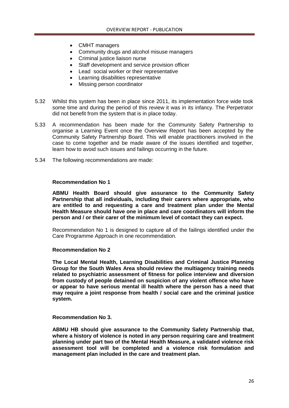- CMHT managers
- Community drugs and alcohol misuse managers
- Criminal justice liaison nurse
- Staff development and service provision officer
- Lead social worker or their representative
- Learning disabilities representative
- Missing person coordinator
- 5.32 Whilst this system has been in place since 2011, its implementation force wide took some time and during the period of this review it was in its infancy. The Perpetrator did not benefit from the system that is in place today.
- 5.33 A recommendation has been made for the Community Safety Partnership to organise a Learning Event once the Overview Report has been accepted by the Community Safety Partnership Board. This will enable practitioners involved in the case to come together and be made aware of the issues identified and together, learn how to avoid such issues and failings occurring in the future.
- 5.34 The following recommendations are made:

#### **Recommendation No 1**

**ABMU Health Board should give assurance to the Community Safety Partnership that all individuals, including their carers where appropriate, who are entitled to and requesting a care and treatment plan under the Mental Health Measure should have one in place and care coordinators will inform the person and / or their carer of the minimum level of contact they can expect.** 

Recommendation No 1 is designed to capture all of the failings identified under the Care Programme Approach in one recommendation.

#### **Recommendation No 2**

**The Local Mental Health, Learning Disabilities and Criminal Justice Planning Group for the South Wales Area should review the multiagency training needs related to psychiatric assessment of fitness for police interview and diversion from custody of people detained on suspicion of any violent offence who have or appear to have serious mental ill health where the person has a need that may require a joint response from health / social care and the criminal justice system.**

### **Recommendation No 3.**

**ABMU HB should give assurance to the Community Safety Partnership that, where a history of violence is noted in any person requiring care and treatment planning under part two of the Mental Health Measure, a validated violence risk assessment tool will be completed and a violence risk formulation and management plan included in the care and treatment plan.**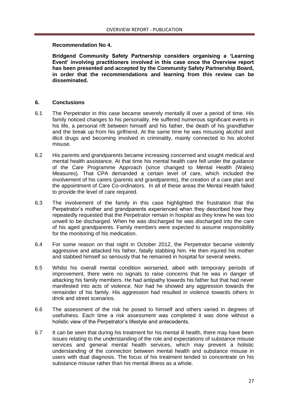## **Recommendation No 4.**

**Bridgend Community Safety Partnership considers organising a 'Learning Event' involving practitioners involved in this case once the Overview report has been presented and accepted by the Community Safety Partnership Board, in order that the recommendations and learning from this review can be disseminated.**

# **6. Conclusions**

- 6.1 The Perpetrator in this case became severely mentally ill over a period of time. His family noticed changes to his personality. He suffered numerous significant events in his life, a personal rift between himself and his father, the death of his grandfather and the break up from his girlfriend. At the same time he was misusing alcohol and illicit drugs and becoming involved in criminality, mainly connected to his alcohol misuse.
- 6.2 His parents and grandparents became increasing concerned and sought medical and mental health assistance. At that time his mental health care fell under the guidance of the Care Programme Approach (since changed to Mental Health (Wales) Measures). That CPA demanded a certain level of care, which included the involvement of his carers (parents and grandparents), the creation of a care plan and the appointment of Care Co-ordinators. In all of these areas the Mental Health failed to provide the level of care required.
- 6.3 The involvement of the family in this case highlighted the frustration that the Perpetrator's mother and grandparents experienced when they described how they repeatedly requested that the Perpetrator remain in hospital as they knew he was too unwell to be discharged. When he was discharged he was discharged into the care of his aged grandparents. Family members were expected to assume responsibility for the monitoring of his medication.
- 6.4 For some reason on that night in October 2012, the Perpetrator became violently aggressive and attacked his father, fatally stabbing him. He then injured his mother and stabbed himself so seriously that he remained in hospital for several weeks.
- 6.5 Whilst his overall mental condition worsened, albeit with temporary periods of improvement, there were no signals to raise concerns that he was in danger of attacking his family members. He had antipathy towards his father but that had never manifested into acts of violence. Nor had he showed any aggression towards the remainder of his family. His aggression had resulted in violence towards others in drink and street scenarios.
- 6.6 The assessment of the risk he posed to himself and others varied in degrees of usefulness. Each time a risk assessment was completed it was done without a holistic view of the Perpetrator's lifestyle and antecedents.
- 6.7 It can be seen that during his treatment for his mental ill health, there may have been issues relating to the understanding of the role and expectations of substance misuse services and general mental health services, which may prevent a holistic understanding of the connection between mental health and substance misuse in users with dual diagnosis. The focus of his treatment tended to concentrate on his substance misuse rather than his mental illness as a whole.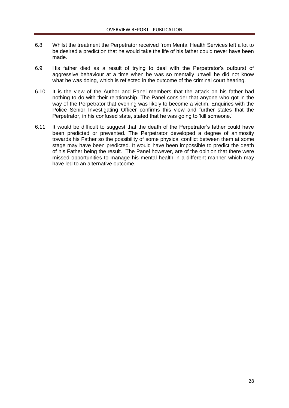- 6.8 Whilst the treatment the Perpetrator received from Mental Health Services left a lot to be desired a prediction that he would take the life of his father could never have been made.
- 6.9 His father died as a result of trying to deal with the Perpetrator's outburst of aggressive behaviour at a time when he was so mentally unwell he did not know what he was doing, which is reflected in the outcome of the criminal court hearing.
- 6.10 It is the view of the Author and Panel members that the attack on his father had nothing to do with their relationship. The Panel consider that anyone who got in the way of the Perpetrator that evening was likely to become a victim. Enquiries with the Police Senior Investigating Officer confirms this view and further states that the Perpetrator, in his confused state, stated that he was going to 'kill someone.'
- 6.11 It would be difficult to suggest that the death of the Perpetrator's father could have been predicted or prevented. The Perpetrator developed a degree of animosity towards his Father so the possibility of some physical conflict between them at some stage may have been predicted. It would have been impossible to predict the death of his Father being the result. The Panel however, are of the opinion that there were missed opportunities to manage his mental health in a different manner which may have led to an alternative outcome.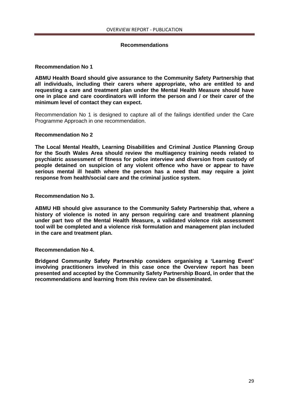## **Recommendations**

### **Recommendation No 1**

**ABMU Health Board should give assurance to the Community Safety Partnership that all individuals, including their carers where appropriate, who are entitled to and requesting a care and treatment plan under the Mental Health Measure should have one in place and care coordinators will inform the person and / or their carer of the minimum level of contact they can expect.** 

Recommendation No 1 is designed to capture all of the failings identified under the Care Programme Approach in one recommendation.

#### **Recommendation No 2**

**The Local Mental Health, Learning Disabilities and Criminal Justice Planning Group for the South Wales Area should review the multiagency training needs related to psychiatric assessment of fitness for police interview and diversion from custody of people detained on suspicion of any violent offence who have or appear to have serious mental ill health where the person has a need that may require a joint response from health/social care and the criminal justice system.**

## **Recommendation No 3.**

**ABMU HB should give assurance to the Community Safety Partnership that, where a history of violence is noted in any person requiring care and treatment planning under part two of the Mental Health Measure, a validated violence risk assessment tool will be completed and a violence risk formulation and management plan included in the care and treatment plan.**

#### **Recommendation No 4.**

**Bridgend Community Safety Partnership considers organising a 'Learning Event' involving practitioners involved in this case once the Overview report has been presented and accepted by the Community Safety Partnership Board, in order that the recommendations and learning from this review can be disseminated.**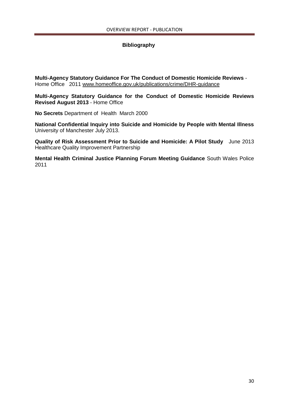# **Bibliography**

**Multi-Agency Statutory Guidance For The Conduct of Domestic Homicide Reviews** - Home Office 2011 [www.homeoffice.gov.uk/publications/crime/DHR-guidance](http://www.homeoffice.gov.uk/publications/crime/DHR-guidance)

**Multi-Agency Statutory Guidance for the Conduct of Domestic Homicide Reviews Revised August 2013** - Home Office

**No Secrets** Department of Health March 2000

**National Confidential Inquiry into Suicide and Homicide by People with Mental Illness** University of Manchester July 2013.

**Quality of Risk Assessment Prior to Suicide and Homicide: A Pilot Study** June 2013 Healthcare Quality Improvement Partnership

**Mental Health Criminal Justice Planning Forum Meeting Guidance** South Wales Police 2011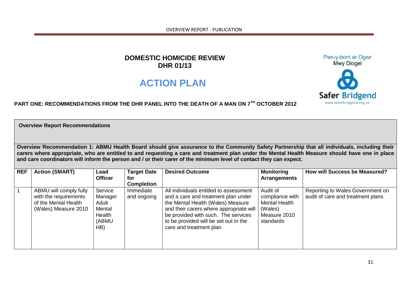OVERVIEW REPORT - PUBLICATION

# **DOMESTIC HOMICIDE REVIEW DHR 01/13**

# **ACTION PLAN**



Pen-y-bont ar Ogwr

# **PART ONE: RECOMMENDATIONS FROM THE DHR PANEL INTO THE DEATH OF A MAN ON 7TH OCTOBER 2012**

**Overview Report Recommendations**

**Overview Recommendation 1: ABMU Health Board should give assurance to the Community Safety Partnership that all individuals, including their carers where appropriate, who are entitled to and requesting a care and treatment plan under the Mental Health Measure should have one in place and care coordinators will inform the person and / or their carer of the minimum level of contact they can expect.** 

| <b>REF</b> | <b>Action (SMART)</b>                                                                           | Lead<br><b>Officer</b>                                          | <b>Target Date</b><br>for<br><b>Completion</b> | <b>Desired Outcome</b>                                                                                                                                                                                                                                                   | <b>Monitoring</b><br><b>Arrangements</b>                                                    | <b>How will Success be Measured?</b>                                  |
|------------|-------------------------------------------------------------------------------------------------|-----------------------------------------------------------------|------------------------------------------------|--------------------------------------------------------------------------------------------------------------------------------------------------------------------------------------------------------------------------------------------------------------------------|---------------------------------------------------------------------------------------------|-----------------------------------------------------------------------|
|            | ABMU will comply fully<br>with the requirements<br>of the Mental Health<br>(Wales) Measure 2010 | Service<br>Manager<br>Adult<br>Mental<br>Health<br>(ABMU<br>HB) | Immediate<br>and ongoing                       | All individuals entitled to assessment<br>and a care and treatment plan under<br>the Mental Health (Wales) Measure<br>and their carers where appropriate will<br>be provided with such. The services<br>to be provided will be set out in the<br>care and treatment plan | Audit of<br>compliance with<br><b>Mental Health</b><br>(Wales)<br>Measure 2010<br>standards | Reporting to Wales Government on<br>audit of care and treatment plans |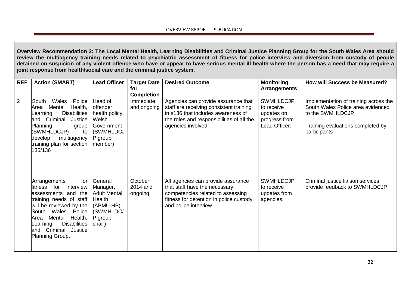**Overview Recommendation 2: The Local Mental Health, Learning Disabilities and Criminal Justice Planning Group for the South Wales Area should review the multiagency training needs related to psychiatric assessment of fitness for police interview and diversion from custody of people detained on suspicion of any violent offence who have or appear to have serious mental ill health where the person has a need that may require a joint response from health/social care and the criminal justice system.**

| <b>REF</b> | <b>Action (SMART)</b>                                                                                                                                                                                                                                              | <b>Lead Officer</b>                                                                                 | <b>Target Date</b><br>for<br><b>Completion</b> | <b>Desired Outcome</b>                                                                                                                                                                  | <b>Monitoring</b><br><b>Arrangements</b>                                       | <b>How will Success be Measured?</b>                                                                                                                |
|------------|--------------------------------------------------------------------------------------------------------------------------------------------------------------------------------------------------------------------------------------------------------------------|-----------------------------------------------------------------------------------------------------|------------------------------------------------|-----------------------------------------------------------------------------------------------------------------------------------------------------------------------------------------|--------------------------------------------------------------------------------|-----------------------------------------------------------------------------------------------------------------------------------------------------|
| 2          | South<br>Wales<br>Police<br>Mental<br>Health,<br>Area<br>Disabilities  <br>Learning<br>and Criminal<br>Justice<br>Planning<br>group<br>(SWMHLDCJP)<br>to<br>develop<br>multiagency<br>training plan for section  <br>135/136                                       | Head of<br>offender<br>health policy,<br>Welsh<br>Government<br>(SWMHLDCJ<br>P group<br>member)     | Immediate<br>and ongoing                       | Agencies can provide assurance that<br>staff are receiving consistent training<br>in s136 that includes awareness of<br>the roles and responsibilities of all the<br>agencies involved. | <b>SWMHLDCJP</b><br>to receive<br>updates on<br>progress from<br>Lead Officer. | Implementation of training across the<br>South Wales Police area evidenced<br>to the SWMHLDCJP<br>Training evaluations completed by<br>participants |
|            | Arrangements<br>for<br>fitness for<br>interview<br>assessments and the<br>training needs of staff<br>will be reviewed by the  <br>South Wales Police<br>Health,<br>Mental<br>Area<br><b>Disabilities</b><br>Learning<br>and Criminal<br>Justice<br>Planning Group. | General<br>Manager,<br><b>Adult Mental</b><br>Health<br>(ABMU HB)<br>(SWMHLDCJ<br>P group<br>chair) | October<br>2014 and<br>ongoing                 | All agencies can provide assurance<br>that staff have the necessary<br>competencies related to assessing<br>fitness for detention in police custody<br>and police interview.            | <b>SWMHLDCJP</b><br>to receive<br>updates from<br>agencies.                    | Criminal justice liaison services<br>provide feedback to SWMHLDCJP                                                                                  |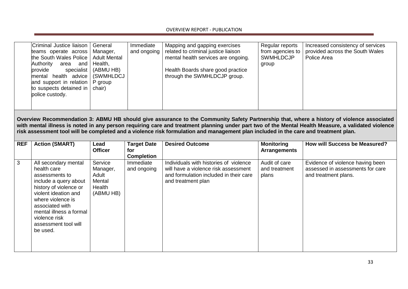| Criminal Justice liaison<br>teams operate across<br>the South Wales Police   Adult Mental<br>Authority<br>and<br>area<br>provide<br>specialist<br>mental health advice<br>and support in relation<br>to suspects detained in   chair)<br>police custody. | General<br>Manager,<br>Health,<br>(ABMU HB)<br>  (SWMHLDCJ<br>P group | Immediate<br>and ongoing | Mapping and gapping exercises<br>related to criminal justice liaison<br>mental health services are ongoing.<br>Health Boards share good practice<br>through the SWMHLDCJP group. | Regular reports<br>from agencies to<br><b>SWMHLDCJP</b><br>group | Increased consistency of services<br>provided across the South Wales<br>Police Area |
|----------------------------------------------------------------------------------------------------------------------------------------------------------------------------------------------------------------------------------------------------------|-----------------------------------------------------------------------|--------------------------|----------------------------------------------------------------------------------------------------------------------------------------------------------------------------------|------------------------------------------------------------------|-------------------------------------------------------------------------------------|
|                                                                                                                                                                                                                                                          |                                                                       |                          |                                                                                                                                                                                  |                                                                  |                                                                                     |

**Overview Recommendation 3: ABMU HB should give assurance to the Community Safety Partnership that, where a history of violence associated with mental illness is noted in any person requiring care and treatment planning under part two of the Mental Health Measure, a validated violence risk assessment tool will be completed and a violence risk formulation and management plan included in the care and treatment plan.**

| <b>REF</b> | <b>Action (SMART)</b>                                                                                                                                                                                                                                    | Lead<br><b>Officer</b>                                        | <b>Target Date</b><br>for<br><b>Completion</b> | <b>Desired Outcome</b>                                                                                                                         | <b>Monitoring</b><br><b>Arrangements</b> | <b>How will Success be Measured?</b>                                                         |
|------------|----------------------------------------------------------------------------------------------------------------------------------------------------------------------------------------------------------------------------------------------------------|---------------------------------------------------------------|------------------------------------------------|------------------------------------------------------------------------------------------------------------------------------------------------|------------------------------------------|----------------------------------------------------------------------------------------------|
| 3          | All secondary mental<br>health care<br>assessments to<br>include a query about<br>history of violence or<br>violent ideation and<br>where violence is<br>associated with<br>mental illness a formal<br>violence risk<br>assessment tool will<br>be used. | Service<br>Manager,<br>Adult<br>Mental<br>Health<br>(ABMU HB) | Immediate<br>and ongoing                       | Individuals with histories of violence<br>will have a violence risk assessment<br>and formulation included in their care<br>and treatment plan | Audit of care<br>and treatment<br>plans  | Evidence of violence having been<br>assessed in assessments for care<br>and treatment plans. |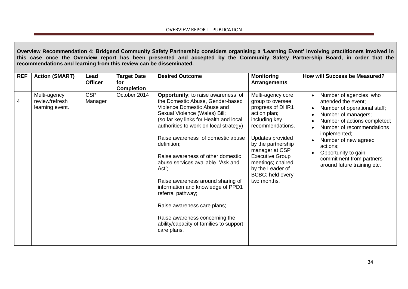**Overview Recommendation 4: Bridgend Community Safety Partnership considers organising a 'Learning Event' involving practitioners involved in this case once the Overview report has been presented and accepted by the Community Safety Partnership Board, in order that the recommendations and learning from this review can be disseminated.**

| <b>REF</b> | <b>Action (SMART)</b>                             | Lead<br><b>Officer</b> | <b>Target Date</b><br>for<br><b>Completion</b> | <b>Desired Outcome</b>                                                                                                                                                                                                                                                                                                                                                                                                                                                                                                                                                                         | <b>Monitoring</b><br><b>Arrangements</b>                                                                                                                                                                                                                                         | <b>How will Success be Measured?</b>                                                                                                                                                                                                                                                                                 |
|------------|---------------------------------------------------|------------------------|------------------------------------------------|------------------------------------------------------------------------------------------------------------------------------------------------------------------------------------------------------------------------------------------------------------------------------------------------------------------------------------------------------------------------------------------------------------------------------------------------------------------------------------------------------------------------------------------------------------------------------------------------|----------------------------------------------------------------------------------------------------------------------------------------------------------------------------------------------------------------------------------------------------------------------------------|----------------------------------------------------------------------------------------------------------------------------------------------------------------------------------------------------------------------------------------------------------------------------------------------------------------------|
| 4          | Multi-agency<br>review/refresh<br>learning event. | <b>CSP</b><br>Manager  | October 2014                                   | Opportunity; to raise awareness of<br>the Domestic Abuse, Gender-based<br>Violence Domestic Abuse and<br>Sexual Violence (Wales) Bill;<br>(so far key links for Health and local<br>authorities to work on local strategy)<br>Raise awareness of domestic abuse<br>definition;<br>Raise awareness of other domestic<br>abuse services available. 'Ask and<br>$Act$ ;<br>Raise awareness around sharing of<br>information and knowledge of PPD1<br>referral pathway;<br>Raise awareness care plans;<br>Raise awareness concerning the<br>ability/capacity of families to support<br>care plans. | Multi-agency core<br>group to oversee<br>progress of DHR1<br>action plan;<br>including key<br>recommendations.<br>Updates provided<br>by the partnership<br>manager at CSP<br><b>Executive Group</b><br>meetings; chaired<br>by the Leader of<br>BCBC; held every<br>two months. | Number of agencies who<br>attended the event;<br>Number of operational staff;<br>$\bullet$<br>Number of managers;<br>Number of actions completed;<br>Number of recommendations<br>implemented;<br>Number of new agreed<br>actions;<br>Opportunity to gain<br>commitment from partners<br>around future training etc. |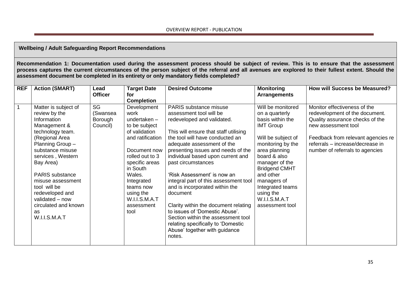# **Wellbeing / Adult Safeguarding Report Recommendations**

**Recommendation 1: Documentation used during the assessment process should be subject of review. This is to ensure that the assessment process captures the current circumstances of the person subject of the referral and all avenues are explored to their fullest extent. Should the assessment document be completed in its entirety or only mandatory fields completed?**

| <b>REF</b>     | <b>Action (SMART)</b>                                                                                                                                                                                                                                                                                                                   | Lead                                  | <b>Target Date</b>                                                                                                                                                                                                                                    | <b>Desired Outcome</b>                                                                                                                                                                                                                                                                                                                                                                                                                                                                                                                                                                                            | <b>Monitoring</b>                                                                                                                                                                                                                                                                                  | <b>How will Success be Measured?</b>                                                                                                                                                                                                  |
|----------------|-----------------------------------------------------------------------------------------------------------------------------------------------------------------------------------------------------------------------------------------------------------------------------------------------------------------------------------------|---------------------------------------|-------------------------------------------------------------------------------------------------------------------------------------------------------------------------------------------------------------------------------------------------------|-------------------------------------------------------------------------------------------------------------------------------------------------------------------------------------------------------------------------------------------------------------------------------------------------------------------------------------------------------------------------------------------------------------------------------------------------------------------------------------------------------------------------------------------------------------------------------------------------------------------|----------------------------------------------------------------------------------------------------------------------------------------------------------------------------------------------------------------------------------------------------------------------------------------------------|---------------------------------------------------------------------------------------------------------------------------------------------------------------------------------------------------------------------------------------|
|                |                                                                                                                                                                                                                                                                                                                                         | <b>Officer</b>                        | for<br><b>Completion</b>                                                                                                                                                                                                                              |                                                                                                                                                                                                                                                                                                                                                                                                                                                                                                                                                                                                                   | <b>Arrangements</b>                                                                                                                                                                                                                                                                                |                                                                                                                                                                                                                                       |
| $\overline{1}$ | Matter is subject of<br>review by the<br>Information<br>Management &<br>technology team.<br>(Regional Area<br>Planning Group-<br>substance misuse<br>services, Western<br>Bay Area)<br><b>PARIS</b> substance<br>misuse assessment<br>tool will be<br>redeveloped and<br>validated - now<br>circulated and known<br>as<br>W.I.I.S.M.A.T | SG<br>(Swansea<br>Borough<br>Council) | Development<br>work<br>undertaken $-$<br>to be subject<br>of validation<br>and ratification<br>Document now<br>rolled out to 3<br>specific areas<br>in South<br>Wales.<br>Integrated<br>teams now<br>using the<br>W.I.I.S.M.A.T<br>assessment<br>tool | PARIS substance misuse<br>assessment tool will be<br>redeveloped and validated.<br>This will ensure that staff utilising<br>the tool will have conducted an<br>adequate assessment of the<br>presenting issues and needs of the<br>individual based upon current and<br>past circumstances<br>'Risk Assessment' is now an<br>integral part of this assessment tool<br>and is incorporated within the<br>document<br>Clarity within the document relating<br>to issues of 'Domestic Abuse'.<br>Section within the assessment tool<br>relating specifically to 'Domestic<br>Abuse' together with guidance<br>notes. | Will be monitored<br>on a quarterly<br>basis within the<br><b>IMT Group</b><br>Will be subject of<br>monitoring by the<br>area planning<br>board & also<br>manager of the<br><b>Bridgend CMHT</b><br>and other<br>managers of<br>Integrated teams<br>using the<br>W.I.I.S.M.A.T<br>assessment tool | Monitor effectiveness of the<br>redevelopment of the document.<br>Quality assurance checks of the<br>new assessment tool<br>Feedback from relevant agencies re<br>referrals - increase/decrease in<br>number of referrals to agencies |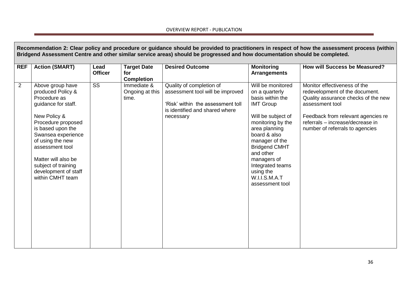# OVERVIEW REPORT - PUBLICATION

|                | Recommendation 2: Clear policy and procedure or guidance should be provided to practitioners in respect of how the assessment process (within<br>Bridgend Assessment Centre and other similar service areas) should be progressed and how documentation should be completed.                   |                        |                                                |                                                                                                                                                  |                                                                                                                                                                                                                                                                                                    |                                                                                                                                                                                                                                       |  |  |
|----------------|------------------------------------------------------------------------------------------------------------------------------------------------------------------------------------------------------------------------------------------------------------------------------------------------|------------------------|------------------------------------------------|--------------------------------------------------------------------------------------------------------------------------------------------------|----------------------------------------------------------------------------------------------------------------------------------------------------------------------------------------------------------------------------------------------------------------------------------------------------|---------------------------------------------------------------------------------------------------------------------------------------------------------------------------------------------------------------------------------------|--|--|
| <b>REF</b>     | <b>Action (SMART)</b>                                                                                                                                                                                                                                                                          | Lead<br><b>Officer</b> | <b>Target Date</b><br>for<br><b>Completion</b> | <b>Desired Outcome</b>                                                                                                                           | <b>Monitoring</b><br><b>Arrangements</b>                                                                                                                                                                                                                                                           | How will Success be Measured?                                                                                                                                                                                                         |  |  |
| $\overline{2}$ | Above group have<br>produced Policy &<br>Procedure as<br>guidance for staff.<br>New Policy &<br>Procedure proposed<br>is based upon the<br>Swansea experience<br>of using the new<br>assessment tool<br>Matter will also be<br>subject of training<br>development of staff<br>within CMHT team | $\overline{\text{ss}}$ | Immediate &<br>Ongoing at this<br>time.        | Quality of completion of<br>assessment tool will be improved<br>'Risk' within the assessment toll<br>is identified and shared where<br>necessary | Will be monitored<br>on a quarterly<br>basis within the<br><b>IMT Group</b><br>Will be subject of<br>monitoring by the<br>area planning<br>board & also<br>manager of the<br><b>Bridgend CMHT</b><br>and other<br>managers of<br>Integrated teams<br>using the<br>W.I.I.S.M.A.T<br>assessment tool | Monitor effectiveness of the<br>redevelopment of the document.<br>Quality assurance checks of the new<br>assessment tool<br>Feedback from relevant agencies re<br>referrals - increase/decrease in<br>number of referrals to agencies |  |  |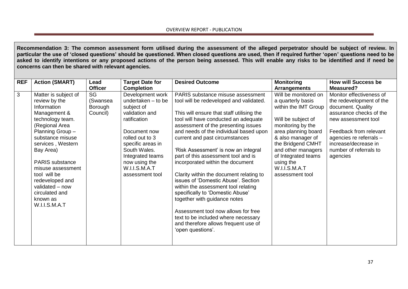**Recommendation 3: The common assessment form utilised during the assessment of the alleged perpetrator should be subject of review. In particular the use of 'closed questions' should be questioned. When closed questions are used, then if required further 'open' questions need to be asked to identify intentions or any proposed actions of the person being assessed. This will enable any risks to be identified and if need be concerns can then be shared with relevant agencies.**

| <b>REF</b> | <b>Action (SMART)</b>  | Lead           | <b>Target Date for</b> | <b>Desired Outcome</b>                    | <b>Monitoring</b>    | <b>How will Success be</b> |
|------------|------------------------|----------------|------------------------|-------------------------------------------|----------------------|----------------------------|
|            |                        | <b>Officer</b> | <b>Completion</b>      |                                           | <b>Arrangements</b>  | Measured?                  |
| 3          | Matter is subject of   | SG             | Development work       | PARIS substance misuse assessment         | Will be monitored on | Monitor effectiveness of   |
|            | review by the          | (Swansea       | undertaken - to be     | tool will be redeveloped and validated.   | a quarterly basis    | the redevelopment of the   |
|            | Information            | Borough        | subject of             |                                           | within the IMT Group | document. Quality          |
|            | Management &           | Council)       | validation and         | This will ensure that staff utilising the |                      | assurance checks of the    |
|            | technology team.       |                | ratification           | tool will have conducted an adequate      | Will be subject of   | new assessment tool        |
|            | (Regional Area         |                |                        | assessment of the presenting issues       | monitoring by the    |                            |
|            | Planning Group-        |                | Document now           | and needs of the individual based upon    | area planning board  | Feedback from relevant     |
|            | substance misuse       |                | rolled out to 3        | current and past circumstances            | & also manager of    | agencies re referrals -    |
|            | services, Western      |                | specific areas in      |                                           | the Bridgend CMHT    | increase/decrease in       |
|            | Bay Area)              |                | South Wales.           | 'Risk Assessment' is now an integral      | and other managers   | number of referrals to     |
|            |                        |                | Integrated teams       | part of this assessment tool and is       | of Integrated teams  | agencies                   |
|            | <b>PARIS</b> substance |                | now using the          | incorporated within the document          | using the            |                            |
|            | misuse assessment      |                | W.I.I.S.M.A.T          |                                           | W.I.I.S.M.A.T        |                            |
|            | tool will be           |                | assessment tool        | Clarity within the document relating to   | assessment tool      |                            |
|            | redeveloped and        |                |                        | issues of 'Domestic Abuse'. Section       |                      |                            |
|            | validated - now        |                |                        | within the assessment tool relating       |                      |                            |
|            | circulated and         |                |                        | specifically to 'Domestic Abuse'          |                      |                            |
|            | known as               |                |                        | together with guidance notes              |                      |                            |
|            | W.I.I.S.M.A.T          |                |                        |                                           |                      |                            |
|            |                        |                |                        | Assessment tool now allows for free       |                      |                            |
|            |                        |                |                        | text to be included where necessary       |                      |                            |
|            |                        |                |                        | and therefore allows frequent use of      |                      |                            |
|            |                        |                |                        | 'open questions'.                         |                      |                            |
|            |                        |                |                        |                                           |                      |                            |
|            |                        |                |                        |                                           |                      |                            |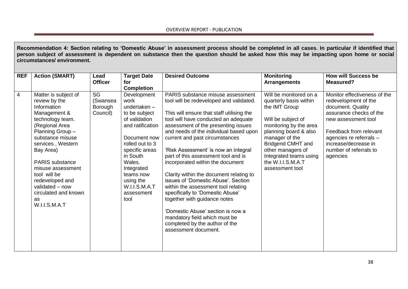**Recommendation 4: Section relating to 'Domestic Abuse' in assessment process should be completed in all cases. In particular if identified that person subject of assessment is dependent on substance then the question should be asked how this may be impacting upon home or social circumstances/ environment.**

| <b>REF</b>     | <b>Action (SMART)</b>                 | Lead           | <b>Target Date</b>      | <b>Desired Outcome</b>                                                       | <b>Monitoring</b>                                | <b>How will Success be</b>                        |
|----------------|---------------------------------------|----------------|-------------------------|------------------------------------------------------------------------------|--------------------------------------------------|---------------------------------------------------|
|                |                                       | <b>Officer</b> | for                     |                                                                              | <b>Arrangements</b>                              | <b>Measured?</b>                                  |
| $\overline{4}$ |                                       | SG             | <b>Completion</b>       |                                                                              |                                                  | Monitor effectiveness of the                      |
|                | Matter is subject of<br>review by the | (Swansea       | Development<br>work     | PARIS substance misuse assessment<br>tool will be redeveloped and validated. | Will be monitored on a<br>quarterly basis within | redevelopment of the                              |
|                | Information                           | Borough        | undertaken-             |                                                                              | the IMT Group                                    | document. Quality                                 |
|                | Management &                          | Council)       | to be subject           | This will ensure that staff utilising the                                    |                                                  | assurance checks of the                           |
|                | technology team.                      |                | of validation           | tool will have conducted an adequate                                         | Will be subject of                               | new assessment tool                               |
|                | (Regional Area                        |                | and ratification        | assessment of the presenting issues                                          | monitoring by the area                           |                                                   |
|                | Planning Group-<br>substance misuse   |                | Document now            | and needs of the individual based upon<br>current and past circumstances     | planning board & also<br>manager of the          | Feedback from relevant<br>agencies re referrals - |
|                | services, Western                     |                | rolled out to 3         |                                                                              | Bridgend CMHT and                                | increase/decrease in                              |
|                | Bay Area)                             |                | specific areas          | 'Risk Assessment' is now an integral                                         | other managers of                                | number of referrals to                            |
|                |                                       |                | in South                | part of this assessment tool and is                                          | Integrated teams using                           | agencies                                          |
|                | <b>PARIS</b> substance                |                | Wales.                  | incorporated within the document                                             | the W.I.I.S.M.A.T                                |                                                   |
|                | misuse assessment<br>tool will be     |                | Integrated<br>teams now | Clarity within the document relating to                                      | assessment tool                                  |                                                   |
|                | redeveloped and                       |                | using the               | issues of 'Domestic Abuse'. Section                                          |                                                  |                                                   |
|                | validated - now                       |                | W.I.I.S.M.A.T           | within the assessment tool relating                                          |                                                  |                                                   |
|                | circulated and known                  |                | assessment              | specifically to 'Domestic Abuse'                                             |                                                  |                                                   |
|                | as                                    |                | tool                    | together with guidance notes                                                 |                                                  |                                                   |
|                | W.I.I.S.M.A.T                         |                |                         | 'Domestic Abuse' section is now a                                            |                                                  |                                                   |
|                |                                       |                |                         | mandatory field which must be                                                |                                                  |                                                   |
|                |                                       |                |                         | completed by the author of the                                               |                                                  |                                                   |
|                |                                       |                |                         | assessment document.                                                         |                                                  |                                                   |
|                |                                       |                |                         |                                                                              |                                                  |                                                   |
|                |                                       |                |                         |                                                                              |                                                  |                                                   |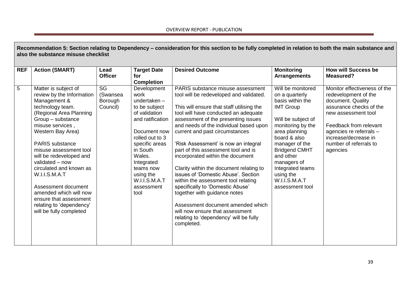|                | Recommendation 5: Section relating to Dependency - consideration for this section to be fully completed in relation to both the main substance and<br>also the substance misuse checklist                                                                                                                                                                                                                                                                      |                                       |                                                                                                                                                                                                                                                    |                                                                                                                                                                                                                                                                                                                                                                                                                                                                                                                                                                                                                                                                                                                                      |                                                                                                                                                                                                                                                                                                    |                                                                                                                                                                                                                                                |  |  |  |
|----------------|----------------------------------------------------------------------------------------------------------------------------------------------------------------------------------------------------------------------------------------------------------------------------------------------------------------------------------------------------------------------------------------------------------------------------------------------------------------|---------------------------------------|----------------------------------------------------------------------------------------------------------------------------------------------------------------------------------------------------------------------------------------------------|--------------------------------------------------------------------------------------------------------------------------------------------------------------------------------------------------------------------------------------------------------------------------------------------------------------------------------------------------------------------------------------------------------------------------------------------------------------------------------------------------------------------------------------------------------------------------------------------------------------------------------------------------------------------------------------------------------------------------------------|----------------------------------------------------------------------------------------------------------------------------------------------------------------------------------------------------------------------------------------------------------------------------------------------------|------------------------------------------------------------------------------------------------------------------------------------------------------------------------------------------------------------------------------------------------|--|--|--|
| <b>REF</b>     | <b>Action (SMART)</b>                                                                                                                                                                                                                                                                                                                                                                                                                                          | Lead<br><b>Officer</b>                | <b>Target Date</b><br>for<br><b>Completion</b>                                                                                                                                                                                                     | <b>Desired Outcome</b>                                                                                                                                                                                                                                                                                                                                                                                                                                                                                                                                                                                                                                                                                                               | <b>Monitoring</b><br><b>Arrangements</b>                                                                                                                                                                                                                                                           | <b>How will Success be</b><br><b>Measured?</b>                                                                                                                                                                                                 |  |  |  |
| $\overline{5}$ | Matter is subject of<br>review by the Information<br>Management &<br>technology team.<br>(Regional Area Planning<br>Group - substance<br>misuse services,<br>Western Bay Area)<br><b>PARIS</b> substance<br>misuse assessment tool<br>will be redeveloped and<br>validated - now<br>circulated and known as<br>W.I.I.S.M.A.T<br>Assessment document<br>amended which will now<br>ensure that assessment<br>relating to 'dependency'<br>will be fully completed | SG<br>(Swansea<br>Borough<br>Council) | Development<br>work<br>undertaken-<br>to be subject<br>of validation<br>and ratification<br>Document now<br>rolled out to 3<br>specific areas<br>in South<br>Wales.<br>Integrated<br>teams now<br>using the<br>W.I.I.S.M.A.T<br>assessment<br>tool | PARIS substance misuse assessment<br>tool will be redeveloped and validated.<br>This will ensure that staff utilising the<br>tool will have conducted an adequate<br>assessment of the presenting issues<br>and needs of the individual based upon<br>current and past circumstances<br>'Risk Assessment' is now an integral<br>part of this assessment tool and is<br>incorporated within the document<br>Clarity within the document relating to<br>issues of 'Domestic Abuse', Section<br>within the assessment tool relating<br>specifically to 'Domestic Abuse'<br>together with guidance notes<br>Assessment document amended which<br>will now ensure that assessment<br>relating to 'dependency' will be fully<br>completed. | Will be monitored<br>on a quarterly<br>basis within the<br><b>IMT Group</b><br>Will be subject of<br>monitoring by the<br>area planning<br>board & also<br>manager of the<br><b>Bridgend CMHT</b><br>and other<br>managers of<br>Integrated teams<br>using the<br>W.I.I.S.M.A.T<br>assessment tool | Monitor effectiveness of the<br>redevelopment of the<br>document. Quality<br>assurance checks of the<br>new assessment tool<br>Feedback from relevant<br>agencies re referrals -<br>increase/decrease in<br>number of referrals to<br>agencies |  |  |  |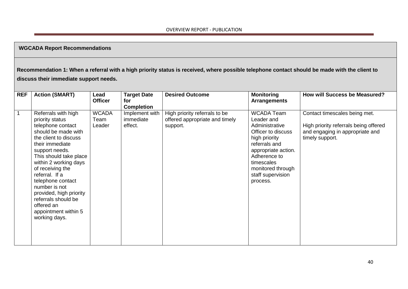# **WGCADA Report Recommendations**

**Recommendation 1: When a referral with a high priority status is received, where possible telephone contact should be made with the client to discuss their immediate support needs.** 

| <b>REF</b>   | <b>Action (SMART)</b>                                                                                                                                                                                                                                                                                                                                                                    | Lead                           | <b>Target Date</b>                     | <b>Desired Outcome</b>                                                      | <b>Monitoring</b>                                                                                                                                                                                             | <b>How will Success be Measured?</b>                                                                                         |
|--------------|------------------------------------------------------------------------------------------------------------------------------------------------------------------------------------------------------------------------------------------------------------------------------------------------------------------------------------------------------------------------------------------|--------------------------------|----------------------------------------|-----------------------------------------------------------------------------|---------------------------------------------------------------------------------------------------------------------------------------------------------------------------------------------------------------|------------------------------------------------------------------------------------------------------------------------------|
|              |                                                                                                                                                                                                                                                                                                                                                                                          | <b>Officer</b>                 | for                                    |                                                                             | <b>Arrangements</b>                                                                                                                                                                                           |                                                                                                                              |
|              |                                                                                                                                                                                                                                                                                                                                                                                          |                                | <b>Completion</b>                      |                                                                             |                                                                                                                                                                                                               |                                                                                                                              |
| $\mathbf{1}$ | Referrals with high<br>priority status<br>telephone contact<br>should be made with<br>the client to discuss<br>their immediate<br>support needs.<br>This should take place<br>within 2 working days<br>of receiving the<br>referral. If a<br>telephone contact<br>number is not<br>provided, high priority<br>referrals should be<br>offered an<br>appointment within 5<br>working days. | <b>WCADA</b><br>Team<br>Leader | Implement with<br>immediate<br>effect. | High priority referrals to be<br>offered appropriate and timely<br>support. | WCADA Team<br>Leader and<br>Administrative<br>Officer to discuss<br>high priority<br>referrals and<br>appropriate action.<br>Adherence to<br>timescales<br>monitored through<br>staff supervision<br>process. | Contact timescales being met.<br>High priority referrals being offered<br>and engaging in appropriate and<br>timely support. |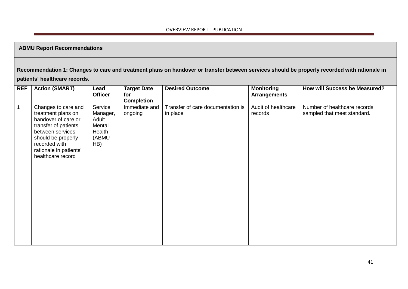# **ABMU Report Recommendations**

# **Recommendation 1: Changes to care and treatment plans on handover or transfer between services should be properly recorded with rationale in**

# **patients' healthcare records.**

| <b>REF</b>  | <b>Action (SMART)</b>                                                                                                                                                                              | Lead<br><b>Officer</b>                                           | <b>Target Date</b><br>for | <b>Desired Outcome</b>                        | <b>Monitoring</b><br><b>Arrangements</b> | <b>How will Success be Measured?</b>                        |
|-------------|----------------------------------------------------------------------------------------------------------------------------------------------------------------------------------------------------|------------------------------------------------------------------|---------------------------|-----------------------------------------------|------------------------------------------|-------------------------------------------------------------|
|             |                                                                                                                                                                                                    |                                                                  | <b>Completion</b>         |                                               |                                          |                                                             |
| $\mathbf 1$ | Changes to care and<br>treatment plans on<br>handover of care or<br>transfer of patients<br>between services<br>should be properly<br>recorded with<br>rationale in patients'<br>healthcare record | Service<br>Manager,<br>Adult<br>Mental<br>Health<br>(ABMU<br>HB) | Immediate and<br>ongoing  | Transfer of care documentation is<br>in place | Audit of healthcare<br>records           | Number of healthcare records<br>sampled that meet standard. |
|             |                                                                                                                                                                                                    |                                                                  |                           |                                               |                                          |                                                             |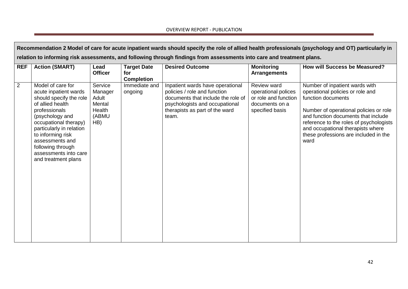|            | Recommendation 2 Model of care for acute inpatient wards should specify the role of allied health professionals (psychology and OT) particularly in                                                                                                                                             |                                                                 |                                                |                                                                                                                                                                                     |                                                                                                 |                                                                                                                                                                                                                                                                                                            |  |  |  |
|------------|-------------------------------------------------------------------------------------------------------------------------------------------------------------------------------------------------------------------------------------------------------------------------------------------------|-----------------------------------------------------------------|------------------------------------------------|-------------------------------------------------------------------------------------------------------------------------------------------------------------------------------------|-------------------------------------------------------------------------------------------------|------------------------------------------------------------------------------------------------------------------------------------------------------------------------------------------------------------------------------------------------------------------------------------------------------------|--|--|--|
|            | relation to informing risk assessments, and following through findings from assessments into care and treatment plans.                                                                                                                                                                          |                                                                 |                                                |                                                                                                                                                                                     |                                                                                                 |                                                                                                                                                                                                                                                                                                            |  |  |  |
| <b>REF</b> | <b>Action (SMART)</b>                                                                                                                                                                                                                                                                           | Lead<br><b>Officer</b>                                          | <b>Target Date</b><br>for<br><b>Completion</b> | <b>Desired Outcome</b>                                                                                                                                                              | <b>Monitoring</b><br><b>Arrangements</b>                                                        | <b>How will Success be Measured?</b>                                                                                                                                                                                                                                                                       |  |  |  |
| 2          | Model of care for<br>acute inpatient wards<br>should specify the role<br>of allied health<br>professionals<br>(psychology and<br>occupational therapy)<br>particularly in relation<br>to informing risk<br>assessments and<br>following through<br>assessments into care<br>and treatment plans | Service<br>Manager<br>Adult<br>Mental<br>Health<br>(ABMU<br>HB) | Immediate and<br>ongoing                       | Inpatient wards have operational<br>policies / role and function<br>documents that include the role of<br>psychologists and occupational<br>therapists as part of the ward<br>team. | Review ward<br>operational polices<br>or role and function<br>documents on a<br>specified basis | Number of inpatient wards with<br>operational policies or role and<br>function documents<br>Number of operational policies or role<br>and function documents that include<br>reference to the roles of psychologists<br>and occupational therapists where<br>these professions are included in the<br>ward |  |  |  |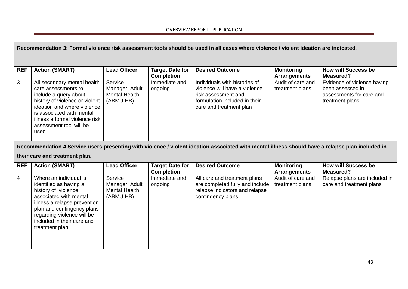|                | Recommendation 3: Formal violence risk assessment tools should be used in all cases where violence / violent ideation are indicated.                                                                                                           |                                                                |                                             |                                                                                                                                                   |                                          |                                                                                                 |  |  |  |
|----------------|------------------------------------------------------------------------------------------------------------------------------------------------------------------------------------------------------------------------------------------------|----------------------------------------------------------------|---------------------------------------------|---------------------------------------------------------------------------------------------------------------------------------------------------|------------------------------------------|-------------------------------------------------------------------------------------------------|--|--|--|
| <b>REF</b>     | <b>Action (SMART)</b>                                                                                                                                                                                                                          | <b>Lead Officer</b>                                            | <b>Target Date for</b><br><b>Completion</b> | <b>Desired Outcome</b>                                                                                                                            | <b>Monitoring</b><br><b>Arrangements</b> | <b>How will Success be</b><br><b>Measured?</b>                                                  |  |  |  |
| 3              | All secondary mental health<br>care assessments to<br>include a query about<br>history of violence or violent<br>ideation and where violence<br>is associated with mental<br>illness a formal violence risk<br>assessment tool will be<br>used | Service<br>Manager, Adult<br><b>Mental Health</b><br>(ABMU HB) | Immediate and<br>ongoing                    | Individuals with histories of<br>violence will have a violence<br>risk assessment and<br>formulation included in their<br>care and treatment plan | Audit of care and<br>treatment plans     | Evidence of violence having<br>been assessed in<br>assessments for care and<br>treatment plans. |  |  |  |
|                | their care and treatment plan.                                                                                                                                                                                                                 |                                                                |                                             | Recommendation 4 Service users presenting with violence / violent ideation associated with mental illness should have a relapse plan included in  |                                          |                                                                                                 |  |  |  |
| <b>REF</b>     | <b>Action (SMART)</b>                                                                                                                                                                                                                          | <b>Lead Officer</b>                                            | <b>Target Date for</b><br><b>Completion</b> | <b>Desired Outcome</b>                                                                                                                            | <b>Monitoring</b><br><b>Arrangements</b> | <b>How will Success be</b><br><b>Measured?</b>                                                  |  |  |  |
| $\overline{4}$ | Where an individual is<br>identified as having a<br>history of violence<br>associated with mental<br>illness a relapse prevention<br>plan and contingency plans<br>regarding violence will be<br>included in their care and<br>treatment plan. | Service<br>Manager, Adult<br><b>Mental Health</b><br>(ABMU HB) | Immediate and<br>ongoing                    | All care and treatment plans<br>are completed fully and include<br>relapse indicators and relapse<br>contingency plans                            | Audit of care and<br>treatment plans     | Relapse plans are included in<br>care and treatment plans                                       |  |  |  |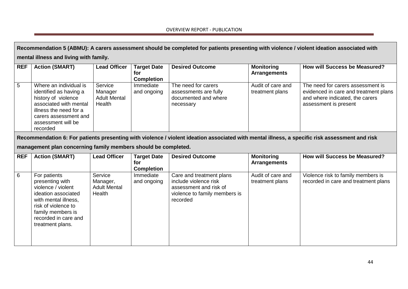**Recommendation 5 (ABMU): A carers assessment should be completed for patients presenting with violence / violent ideation associated with mental illness and living with family.**

| <b>REF</b> | <b>Action (SMART)</b>                                                                                                                                                                  | <b>Lead Officer</b>                                 | <b>Target Date</b><br>for<br><b>Completion</b> | <b>Desired Outcome</b>                                                            | <b>Monitoring</b><br>Arrangements    | How will Success be Measured?                                                                                                          |
|------------|----------------------------------------------------------------------------------------------------------------------------------------------------------------------------------------|-----------------------------------------------------|------------------------------------------------|-----------------------------------------------------------------------------------|--------------------------------------|----------------------------------------------------------------------------------------------------------------------------------------|
| 5          | Where an individual is<br>identified as having a<br>history of violence<br>associated with mental<br>illness the need for a<br>carers assessment and<br>assessment will be<br>recorded | Service<br>Manager<br><b>Adult Mental</b><br>Health | Immediate<br>and ongoing                       | The need for carers<br>assessments are fully<br>documented and where<br>necessary | Audit of care and<br>treatment plans | The need for carers assessment is<br>evidenced in care and treatment plans<br>and where indicated, the carers<br>assessment is present |

**Recommendation 6: For patients presenting with violence / violent ideation associated with mental illness, a specific risk assessment and risk** 

**management plan concerning family members should be completed.**

| <b>REF</b>      | <b>Action (SMART)</b>                                                                                                                                                                        | <b>Lead Officer</b>                                  | <b>Target Date</b>       | <b>Desired Outcome</b>                                                                                                   | <b>Monitoring</b>                    | <b>How will Success be Measured?</b>                                       |
|-----------------|----------------------------------------------------------------------------------------------------------------------------------------------------------------------------------------------|------------------------------------------------------|--------------------------|--------------------------------------------------------------------------------------------------------------------------|--------------------------------------|----------------------------------------------------------------------------|
|                 |                                                                                                                                                                                              |                                                      | tor                      |                                                                                                                          | <b>Arrangements</b>                  |                                                                            |
|                 |                                                                                                                                                                                              |                                                      | <b>Completion</b>        |                                                                                                                          |                                      |                                                                            |
| $6\overline{6}$ | For patients<br>presenting with<br>violence / violent<br>ideation associated<br>with mental illness,<br>risk of violence to<br>family members is<br>recorded in care and<br>treatment plans. | Service<br>Manager,<br><b>Adult Mental</b><br>Health | Immediate<br>and ongoing | Care and treatment plans<br>include violence risk<br>assessment and risk of<br>violence to family members is<br>recorded | Audit of care and<br>treatment plans | Violence risk to family members is<br>recorded in care and treatment plans |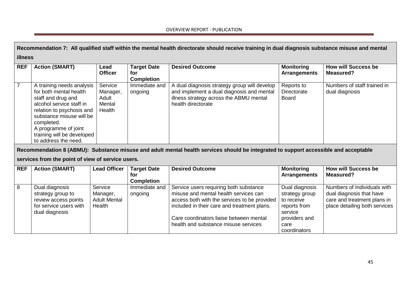|                | Recommendation 7: All qualified staff within the mental health directorate should receive training in dual diagnosis substance misuse and mental                                                                                                           |                                                      |                                                |                                                                                                                                                                                                                                                                                                    |                                                                                                                    |                                                                                                                         |  |  |  |  |
|----------------|------------------------------------------------------------------------------------------------------------------------------------------------------------------------------------------------------------------------------------------------------------|------------------------------------------------------|------------------------------------------------|----------------------------------------------------------------------------------------------------------------------------------------------------------------------------------------------------------------------------------------------------------------------------------------------------|--------------------------------------------------------------------------------------------------------------------|-------------------------------------------------------------------------------------------------------------------------|--|--|--|--|
|                | illness                                                                                                                                                                                                                                                    |                                                      |                                                |                                                                                                                                                                                                                                                                                                    |                                                                                                                    |                                                                                                                         |  |  |  |  |
| <b>REF</b>     | <b>Action (SMART)</b>                                                                                                                                                                                                                                      | Lead<br><b>Officer</b>                               | <b>Target Date</b><br>for<br><b>Completion</b> | <b>Desired Outcome</b>                                                                                                                                                                                                                                                                             | <b>Monitoring</b><br><b>Arrangements</b>                                                                           | <b>How will Success be</b><br>Measured?                                                                                 |  |  |  |  |
| $\overline{7}$ | A training needs analysis<br>for both mental health<br>staff and drug and<br>alcohol service staff in<br>relation to psychosis and<br>substance misuse will be<br>completed.<br>A programme of joint<br>training will be developed<br>to address the need. | Service<br>Manager,<br>Adult<br>Mental<br>Health     | Immediate and<br>ongoing                       | A dual diagnosis strategy group will develop<br>and implement a dual diagnosis and mental<br>illness strategy across the ABMU mental<br>health directorate<br>Recommendation 8 (ABMU): Substance misuse and adult mental health services should be integrated to support accessible and acceptable | Reports to<br><b>Directorate</b><br><b>Board</b>                                                                   | Numbers of staff trained in<br>dual diagnosis                                                                           |  |  |  |  |
|                | services from the point of view of service users.                                                                                                                                                                                                          |                                                      |                                                |                                                                                                                                                                                                                                                                                                    |                                                                                                                    |                                                                                                                         |  |  |  |  |
| <b>REF</b>     | <b>Action (SMART)</b>                                                                                                                                                                                                                                      | <b>Lead Officer</b>                                  | <b>Target Date</b><br>for<br><b>Completion</b> | <b>Desired Outcome</b>                                                                                                                                                                                                                                                                             | <b>Monitoring</b><br><b>Arrangements</b>                                                                           | <b>How will Success be</b><br><b>Measured?</b>                                                                          |  |  |  |  |
| 8              | Dual diagnosis<br>strategy group to<br>review access points<br>for service users with<br>dual diagnosis                                                                                                                                                    | Service<br>Manager,<br><b>Adult Mental</b><br>Health | Immediate and<br>ongoing                       | Service users requiring both substance<br>misuse and mental health services can<br>access both with the services to be provided<br>included in their care and treatment plans.<br>Care coordinators liaise between mental<br>health and substance misuse services                                  | Dual diagnosis<br>strategy group<br>to receive<br>reports from<br>service<br>providers and<br>care<br>coordinators | Numbers of Individuals with<br>dual diagnosis that have<br>care and treatment plans in<br>place detailing both services |  |  |  |  |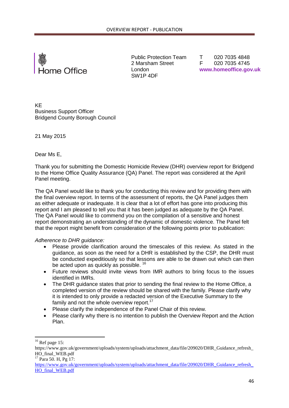

Public Protection Team 2 Marsham Street London SW1P 4DF

 T 020 7035 4848 F 020 7035 4745  **www.homeoffice.gov.uk**

KE Business Support Officer Bridgend County Borough Council

21 May 2015

Dear Ms E,

Thank you for submitting the Domestic Homicide Review (DHR) overview report for Bridgend to the Home Office Quality Assurance (QA) Panel. The report was considered at the April Panel meeting.

The QA Panel would like to thank you for conducting this review and for providing them with the final overview report. In terms of the assessment of reports, the QA Panel judges them as either adequate or inadequate. It is clear that a lot of effort has gone into producing this report and I am pleased to tell you that it has been judged as adequate by the QA Panel. The QA Panel would like to commend you on the compilation of a sensitive and honest report demonstrating an understanding of the dynamic of domestic violence. The Panel felt that the report might benefit from consideration of the following points prior to publication:

*Adherence to DHR guidance:* 

- Please provide clarification around the timescales of this review. As stated in the guidance, as soon as the need for a DHR is established by the CSP, the DHR must be conducted expeditiously so that lessons are able to be drawn out which can then be acted upon as quickly as possible. <sup>16</sup>
- Future reviews should invite views from IMR authors to bring focus to the issues identified in IMRs.
- The DHR guidance states that prior to sending the final review to the Home Office, a completed version of the review should be shared with the family. Please clarify why it is intended to only provide a redacted version of the Executive Summary to the family and not the whole overview report.<sup>17</sup>
- Please clarify the independence of the Panel Chair of this review.
- Please clarify why there is no intention to publish the Overview Report and the Action Plan.

1

 $16$  Ref page 15:

https://www.gov.uk/government/uploads/system/uploads/attachment\_data/file/209020/DHR\_Guidance\_refresh HO\_final\_WEB.pdf

 $17$  Para 50. H, Pg 17:

https://www.gov.uk/government/uploads/system/uploads/attachment\_data/file/209020/DHR\_Guidance\_refresh [HO\\_final\\_WEB.pdf](https://www.gov.uk/government/uploads/system/uploads/attachment_data/file/209020/DHR_Guidance_refresh_HO_final_WEB.pdf)